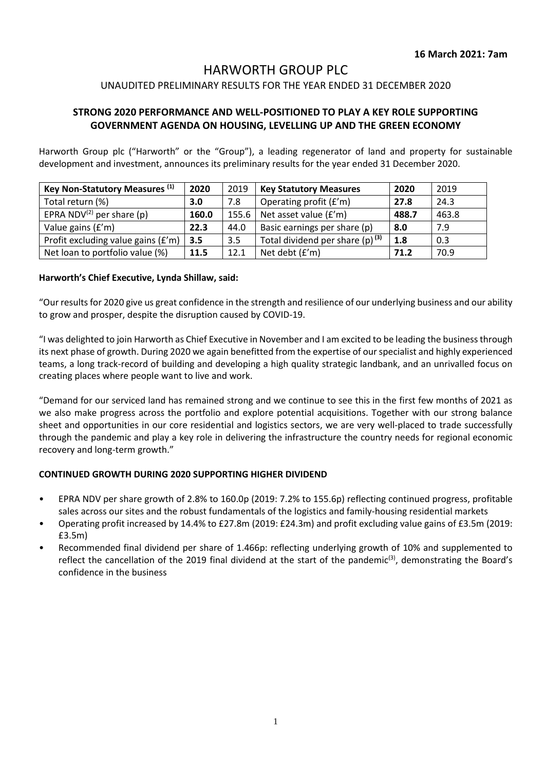## HARWORTH GROUP PLC

## UNAUDITED PRELIMINARY RESULTS FOR THE YEAR ENDED 31 DECEMBER 2020

## **STRONG 2020 PERFORMANCE AND WELL-POSITIONED TO PLAY A KEY ROLE SUPPORTING GOVERNMENT AGENDA ON HOUSING, LEVELLING UP AND THE GREEN ECONOMY**

Harworth Group plc ("Harworth" or the "Group"), a leading regenerator of land and property for sustainable development and investment, announces its preliminary results for the year ended 31 December 2020.

| Key Non-Statutory Measures (1)        | 2020  | 2019  | <b>Key Statutory Measures</b>      | 2020  | 2019  |
|---------------------------------------|-------|-------|------------------------------------|-------|-------|
| Total return (%)                      | 3.0   | 7.8   | Operating profit (£'m)             | 27.8  | 24.3  |
| EPRA NDV <sup>(2)</sup> per share (p) | 160.0 | 155.6 | Net asset value (£'m)              | 488.7 | 463.8 |
| Value gains (£'m)                     | 22.3  | 44.0  | Basic earnings per share (p)       | 8.0   | 7.9   |
| Profit excluding value gains (£'m)    | 3.5   | 3.5   | Total dividend per share (p) $(3)$ | 1.8   | 0.3   |
| Net loan to portfolio value (%)       | 11.5  | 12.1  | Net debt (£'m)                     | 71.2  | 70.9  |

#### **Harworth's Chief Executive, Lynda Shillaw, said:**

"Our results for 2020 give us great confidence in the strength and resilience of our underlying business and our ability to grow and prosper, despite the disruption caused by COVID-19.

"I was delighted to join Harworth as Chief Executive in November and I am excited to be leading the business through its next phase of growth. During 2020 we again benefitted from the expertise of our specialist and highly experienced teams, a long track-record of building and developing a high quality strategic landbank, and an unrivalled focus on creating places where people want to live and work.

"Demand for our serviced land has remained strong and we continue to see this in the first few months of 2021 as we also make progress across the portfolio and explore potential acquisitions. Together with our strong balance sheet and opportunities in our core residential and logistics sectors, we are very well-placed to trade successfully through the pandemic and play a key role in delivering the infrastructure the country needs for regional economic recovery and long-term growth."

### **CONTINUED GROWTH DURING 2020 SUPPORTING HIGHER DIVIDEND**

- EPRA NDV per share growth of 2.8% to 160.0p (2019: 7.2% to 155.6p) reflecting continued progress, profitable sales across our sites and the robust fundamentals of the logistics and family-housing residential markets
- Operating profit increased by 14.4% to £27.8m (2019: £24.3m) and profit excluding value gains of £3.5m (2019: £3.5m)
- Recommended final dividend per share of 1.466p: reflecting underlying growth of 10% and supplemented to reflect the cancellation of the 2019 final dividend at the start of the pandemic<sup>(3)</sup>, demonstrating the Board's confidence in the business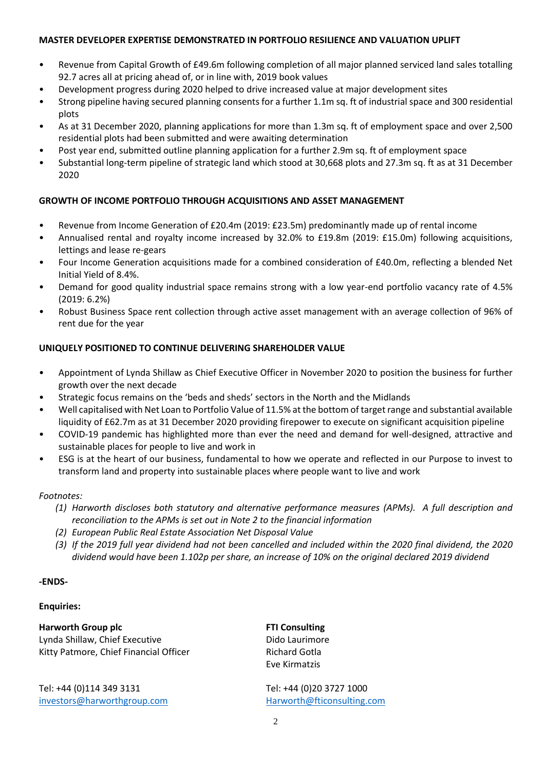## **MASTER DEVELOPER EXPERTISE DEMONSTRATED IN PORTFOLIO RESILIENCE AND VALUATION UPLIFT**

- Revenue from Capital Growth of £49.6m following completion of all major planned serviced land sales totalling 92.7 acres all at pricing ahead of, or in line with, 2019 book values
- Development progress during 2020 helped to drive increased value at major development sites
- Strong pipeline having secured planning consents for a further 1.1m sq. ft of industrial space and 300 residential plots
- As at 31 December 2020, planning applications for more than 1.3m sq. ft of employment space and over 2,500 residential plots had been submitted and were awaiting determination
- Post year end, submitted outline planning application for a further 2.9m sq. ft of employment space
- Substantial long-term pipeline of strategic land which stood at 30,668 plots and 27.3m sq. ft as at 31 December 2020

## **GROWTH OF INCOME PORTFOLIO THROUGH ACQUISITIONS AND ASSET MANAGEMENT**

- Revenue from Income Generation of £20.4m (2019: £23.5m) predominantly made up of rental income
- Annualised rental and royalty income increased by 32.0% to £19.8m (2019: £15.0m) following acquisitions, lettings and lease re-gears
- Four Income Generation acquisitions made for a combined consideration of £40.0m, reflecting a blended Net Initial Yield of 8.4%.
- Demand for good quality industrial space remains strong with a low year-end portfolio vacancy rate of 4.5% (2019: 6.2%)
- Robust Business Space rent collection through active asset management with an average collection of 96% of rent due for the year

## **UNIQUELY POSITIONED TO CONTINUE DELIVERING SHAREHOLDER VALUE**

- Appointment of Lynda Shillaw as Chief Executive Officer in November 2020 to position the business for further growth over the next decade
- Strategic focus remains on the 'beds and sheds' sectors in the North and the Midlands
- Well capitalised with Net Loan to Portfolio Value of 11.5% at the bottom of target range and substantial available liquidity of £62.7m as at 31 December 2020 providing firepower to execute on significant acquisition pipeline
- COVID-19 pandemic has highlighted more than ever the need and demand for well-designed, attractive and sustainable places for people to live and work in
- ESG is at the heart of our business, fundamental to how we operate and reflected in our Purpose to invest to transform land and property into sustainable places where people want to live and work

### *Footnotes:*

- *(1) Harworth discloses both statutory and alternative performance measures (APMs). A full description and reconciliation to the APMs is set out in Note 2 to the financial information*
- *(2) European Public Real Estate Association Net Disposal Value*
- *(3) If the 2019 full year dividend had not been cancelled and included within the 2020 final dividend, the 2020 dividend would have been 1.102p per share, an increase of 10% on the original declared 2019 dividend*

### **-ENDS-**

## **Enquiries:**

**Harworth Group plc FTI Consulting** Lynda Shillaw, Chief Executive **Dido Laurimore** Kitty Patmore, Chief Financial Officer Richard Gotla

Tel: +44 (0)114 349 3131 [investors@harworthgroup.com](mailto:investors@harworthgroup.com) Eve Kirmatzis

Tel: +44 (0)20 3727 1000 [Harworth@fticonsulting.com](mailto:Harworth@fticonsulting.com)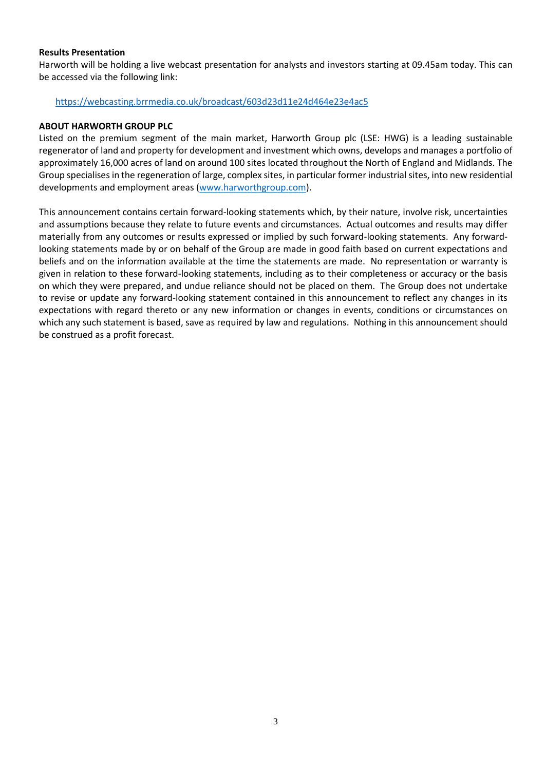### **Results Presentation**

Harworth will be holding a live webcast presentation for analysts and investors starting at 09.45am today. This can be accessed via the following link:

### <https://webcasting.brrmedia.co.uk/broadcast/603d23d11e24d464e23e4ac5>

#### **ABOUT HARWORTH GROUP PLC**

Listed on the premium segment of the main market, Harworth Group plc (LSE: HWG) is a leading sustainable regenerator of land and property for development and investment which owns, develops and manages a portfolio of approximately 16,000 acres of land on around 100 sites located throughout the North of England and Midlands. The Group specialises in the regeneration of large, complex sites, in particular former industrial sites, into new residential developments and employment areas [\(www.harworthgroup.com\)](http://www.harworthgroup.com/).

This announcement contains certain forward-looking statements which, by their nature, involve risk, uncertainties and assumptions because they relate to future events and circumstances. Actual outcomes and results may differ materially from any outcomes or results expressed or implied by such forward-looking statements. Any forwardlooking statements made by or on behalf of the Group are made in good faith based on current expectations and beliefs and on the information available at the time the statements are made. No representation or warranty is given in relation to these forward-looking statements, including as to their completeness or accuracy or the basis on which they were prepared, and undue reliance should not be placed on them. The Group does not undertake to revise or update any forward-looking statement contained in this announcement to reflect any changes in its expectations with regard thereto or any new information or changes in events, conditions or circumstances on which any such statement is based, save as required by law and regulations. Nothing in this announcement should be construed as a profit forecast.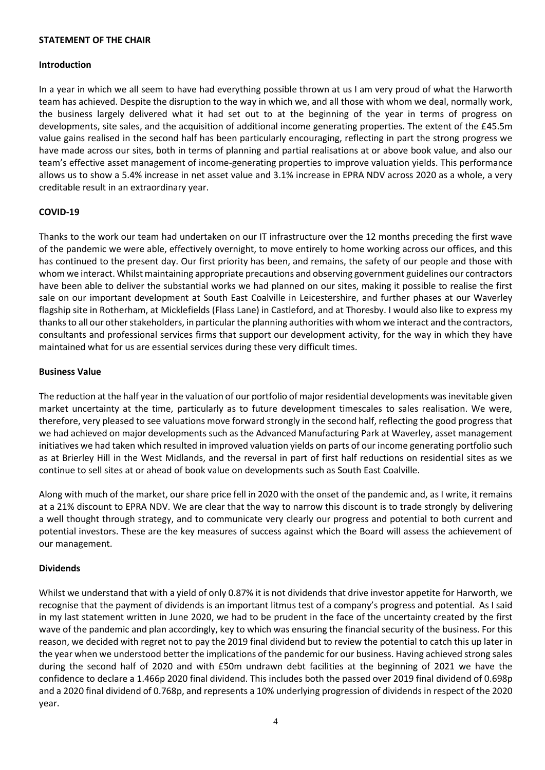#### **STATEMENT OF THE CHAIR**

#### **Introduction**

In a year in which we all seem to have had everything possible thrown at us I am very proud of what the Harworth team has achieved. Despite the disruption to the way in which we, and all those with whom we deal, normally work, the business largely delivered what it had set out to at the beginning of the year in terms of progress on developments, site sales, and the acquisition of additional income generating properties. The extent of the £45.5m value gains realised in the second half has been particularly encouraging, reflecting in part the strong progress we have made across our sites, both in terms of planning and partial realisations at or above book value, and also our team's effective asset management of income-generating properties to improve valuation yields. This performance allows us to show a 5.4% increase in net asset value and 3.1% increase in EPRA NDV across 2020 as a whole, a very creditable result in an extraordinary year.

#### **COVID-19**

Thanks to the work our team had undertaken on our IT infrastructure over the 12 months preceding the first wave of the pandemic we were able, effectively overnight, to move entirely to home working across our offices, and this has continued to the present day. Our first priority has been, and remains, the safety of our people and those with whom we interact. Whilst maintaining appropriate precautions and observing government guidelines our contractors have been able to deliver the substantial works we had planned on our sites, making it possible to realise the first sale on our important development at South East Coalville in Leicestershire, and further phases at our Waverley flagship site in Rotherham, at Micklefields (Flass Lane) in Castleford, and at Thoresby. I would also like to express my thanks to all our other stakeholders, in particular the planning authorities with whom we interact and the contractors, consultants and professional services firms that support our development activity, for the way in which they have maintained what for us are essential services during these very difficult times.

#### **Business Value**

The reduction at the half year in the valuation of our portfolio of major residential developments was inevitable given market uncertainty at the time, particularly as to future development timescales to sales realisation. We were, therefore, very pleased to see valuations move forward strongly in the second half, reflecting the good progress that we had achieved on major developments such as the Advanced Manufacturing Park at Waverley, asset management initiatives we had taken which resulted in improved valuation yields on parts of our income generating portfolio such as at Brierley Hill in the West Midlands, and the reversal in part of first half reductions on residential sites as we continue to sell sites at or ahead of book value on developments such as South East Coalville.

Along with much of the market, our share price fell in 2020 with the onset of the pandemic and, as I write, it remains at a 21% discount to EPRA NDV. We are clear that the way to narrow this discount is to trade strongly by delivering a well thought through strategy, and to communicate very clearly our progress and potential to both current and potential investors. These are the key measures of success against which the Board will assess the achievement of our management.

### **Dividends**

Whilst we understand that with a yield of only 0.87% it is not dividends that drive investor appetite for Harworth, we recognise that the payment of dividends is an important litmus test of a company's progress and potential. As I said in my last statement written in June 2020, we had to be prudent in the face of the uncertainty created by the first wave of the pandemic and plan accordingly, key to which was ensuring the financial security of the business. For this reason, we decided with regret not to pay the 2019 final dividend but to review the potential to catch this up later in the year when we understood better the implications of the pandemic for our business. Having achieved strong sales during the second half of 2020 and with £50m undrawn debt facilities at the beginning of 2021 we have the confidence to declare a 1.466p 2020 final dividend. This includes both the passed over 2019 final dividend of 0.698p and a 2020 final dividend of 0.768p, and represents a 10% underlying progression of dividends in respect of the 2020 year.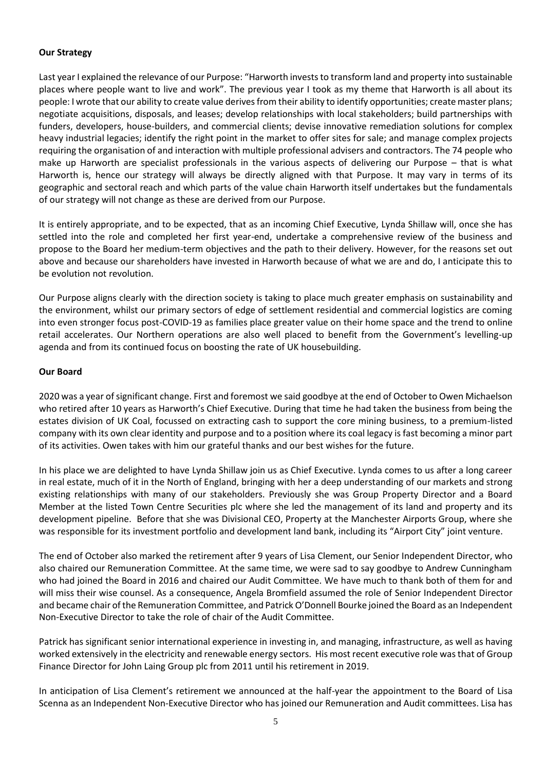## **Our Strategy**

Last year I explained the relevance of our Purpose: "Harworth invests to transform land and property into sustainable places where people want to live and work". The previous year I took as my theme that Harworth is all about its people: I wrote that our ability to create value derives from their ability to identify opportunities; create master plans; negotiate acquisitions, disposals, and leases; develop relationships with local stakeholders; build partnerships with funders, developers, house-builders, and commercial clients; devise innovative remediation solutions for complex heavy industrial legacies; identify the right point in the market to offer sites for sale; and manage complex projects requiring the organisation of and interaction with multiple professional advisers and contractors. The 74 people who make up Harworth are specialist professionals in the various aspects of delivering our Purpose – that is what Harworth is, hence our strategy will always be directly aligned with that Purpose. It may vary in terms of its geographic and sectoral reach and which parts of the value chain Harworth itself undertakes but the fundamentals of our strategy will not change as these are derived from our Purpose.

It is entirely appropriate, and to be expected, that as an incoming Chief Executive, Lynda Shillaw will, once she has settled into the role and completed her first year-end, undertake a comprehensive review of the business and propose to the Board her medium-term objectives and the path to their delivery. However, for the reasons set out above and because our shareholders have invested in Harworth because of what we are and do, I anticipate this to be evolution not revolution.

Our Purpose aligns clearly with the direction society is taking to place much greater emphasis on sustainability and the environment, whilst our primary sectors of edge of settlement residential and commercial logistics are coming into even stronger focus post-COVID-19 as families place greater value on their home space and the trend to online retail accelerates. Our Northern operations are also well placed to benefit from the Government's levelling-up agenda and from its continued focus on boosting the rate of UK housebuilding.

## **Our Board**

2020 was a year of significant change. First and foremost we said goodbye at the end of October to Owen Michaelson who retired after 10 years as Harworth's Chief Executive. During that time he had taken the business from being the estates division of UK Coal, focussed on extracting cash to support the core mining business, to a premium-listed company with its own clear identity and purpose and to a position where its coal legacy is fast becoming a minor part of its activities. Owen takes with him our grateful thanks and our best wishes for the future.

In his place we are delighted to have Lynda Shillaw join us as Chief Executive. Lynda comes to us after a long career in real estate, much of it in the North of England, bringing with her a deep understanding of our markets and strong existing relationships with many of our stakeholders. Previously she was Group Property Director and a Board Member at the listed Town Centre Securities plc where she led the management of its land and property and its development pipeline. Before that she was Divisional CEO, Property at the Manchester Airports Group, where she was responsible for its investment portfolio and development land bank, including its "Airport City" joint venture.

The end of October also marked the retirement after 9 years of Lisa Clement, our Senior Independent Director, who also chaired our Remuneration Committee. At the same time, we were sad to say goodbye to Andrew Cunningham who had joined the Board in 2016 and chaired our Audit Committee. We have much to thank both of them for and will miss their wise counsel. As a consequence, Angela Bromfield assumed the role of Senior Independent Director and became chair of the Remuneration Committee, and Patrick O'Donnell Bourke joined the Board as an Independent Non-Executive Director to take the role of chair of the Audit Committee.

Patrick has significant senior international experience in investing in, and managing, infrastructure, as well as having worked extensively in the electricity and renewable energy sectors. His most recent executive role was that of Group Finance Director for John Laing Group plc from 2011 until his retirement in 2019.

In anticipation of Lisa Clement's retirement we announced at the half-year the appointment to the Board of Lisa Scenna as an Independent Non-Executive Director who has joined our Remuneration and Audit committees. Lisa has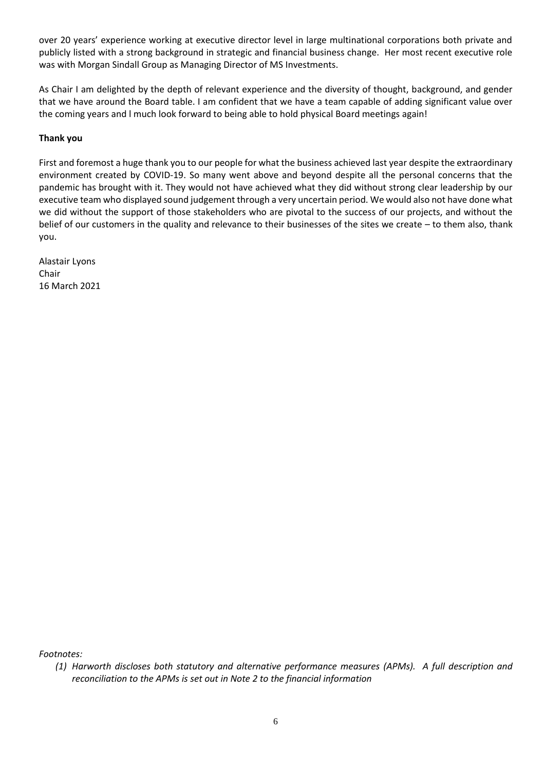over 20 years' experience working at executive director level in large multinational corporations both private and publicly listed with a strong background in strategic and financial business change. Her most recent executive role was with Morgan Sindall Group as Managing Director of MS Investments.

As Chair I am delighted by the depth of relevant experience and the diversity of thought, background, and gender that we have around the Board table. I am confident that we have a team capable of adding significant value over the coming years and l much look forward to being able to hold physical Board meetings again!

## **Thank you**

First and foremost a huge thank you to our people for what the business achieved last year despite the extraordinary environment created by COVID-19. So many went above and beyond despite all the personal concerns that the pandemic has brought with it. They would not have achieved what they did without strong clear leadership by our executive team who displayed sound judgement through a very uncertain period. We would also not have done what we did without the support of those stakeholders who are pivotal to the success of our projects, and without the belief of our customers in the quality and relevance to their businesses of the sites we create – to them also, thank you.

Alastair Lyons Chair 16 March 2021

*Footnotes:*

*<sup>(1)</sup> Harworth discloses both statutory and alternative performance measures (APMs). A full description and reconciliation to the APMs is set out in Note 2 to the financial information*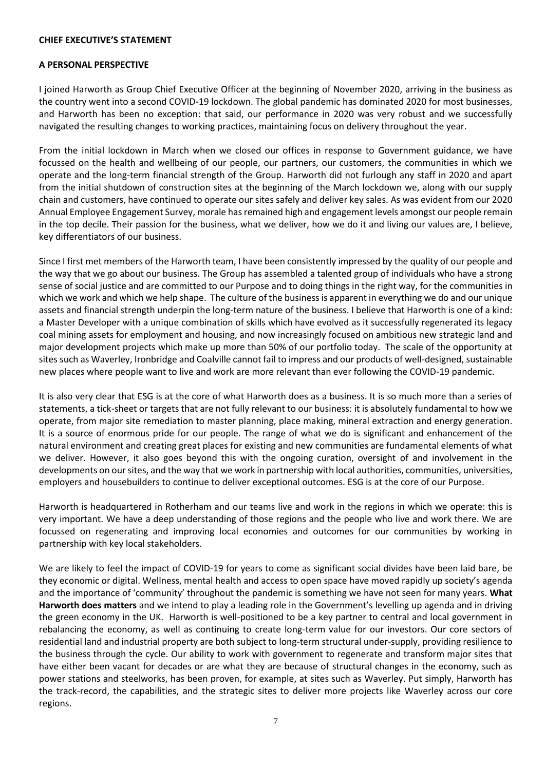#### **CHIEF EXECUTIVE'S STATEMENT**

### **A PERSONAL PERSPECTIVE**

I joined Harworth as Group Chief Executive Officer at the beginning of November 2020, arriving in the business as the country went into a second COVID-19 lockdown. The global pandemic has dominated 2020 for most businesses, and Harworth has been no exception: that said, our performance in 2020 was very robust and we successfully navigated the resulting changes to working practices, maintaining focus on delivery throughout the year.

From the initial lockdown in March when we closed our offices in response to Government guidance, we have focussed on the health and wellbeing of our people, our partners, our customers, the communities in which we operate and the long-term financial strength of the Group. Harworth did not furlough any staff in 2020 and apart from the initial shutdown of construction sites at the beginning of the March lockdown we, along with our supply chain and customers, have continued to operate our sites safely and deliver key sales. As was evident from our 2020 Annual Employee Engagement Survey, morale has remained high and engagement levels amongst our people remain in the top decile. Their passion for the business, what we deliver, how we do it and living our values are, I believe, key differentiators of our business.

Since I first met members of the Harworth team, I have been consistently impressed by the quality of our people and the way that we go about our business. The Group has assembled a talented group of individuals who have a strong sense of social justice and are committed to our Purpose and to doing things in the right way, for the communities in which we work and which we help shape. The culture of the business is apparent in everything we do and our unique assets and financial strength underpin the long-term nature of the business. I believe that Harworth is one of a kind: a Master Developer with a unique combination of skills which have evolved as it successfully regenerated its legacy coal mining assets for employment and housing, and now increasingly focused on ambitious new strategic land and major development projects which make up more than 50% of our portfolio today. The scale of the opportunity at sites such as Waverley, Ironbridge and Coalville cannot fail to impress and our products of well-designed, sustainable new places where people want to live and work are more relevant than ever following the COVID-19 pandemic.

It is also very clear that ESG is at the core of what Harworth does as a business. It is so much more than a series of statements, a tick-sheet or targets that are not fully relevant to our business: it is absolutely fundamental to how we operate, from major site remediation to master planning, place making, mineral extraction and energy generation. It is a source of enormous pride for our people. The range of what we do is significant and enhancement of the natural environment and creating great places for existing and new communities are fundamental elements of what we deliver. However, it also goes beyond this with the ongoing curation, oversight of and involvement in the developments on our sites, and the way that we work in partnership with local authorities, communities, universities, employers and housebuilders to continue to deliver exceptional outcomes. ESG is at the core of our Purpose.

Harworth is headquartered in Rotherham and our teams live and work in the regions in which we operate: this is very important. We have a deep understanding of those regions and the people who live and work there. We are focussed on regenerating and improving local economies and outcomes for our communities by working in partnership with key local stakeholders.

We are likely to feel the impact of COVID-19 for years to come as significant social divides have been laid bare, be they economic or digital. Wellness, mental health and access to open space have moved rapidly up society's agenda and the importance of 'community' throughout the pandemic is something we have not seen for many years. **What Harworth does matters** and we intend to play a leading role in the Government's levelling up agenda and in driving the green economy in the UK. Harworth is well-positioned to be a key partner to central and local government in rebalancing the economy, as well as continuing to create long-term value for our investors. Our core sectors of residential land and industrial property are both subject to long-term structural under-supply, providing resilience to the business through the cycle. Our ability to work with government to regenerate and transform major sites that have either been vacant for decades or are what they are because of structural changes in the economy, such as power stations and steelworks, has been proven, for example, at sites such as Waverley. Put simply, Harworth has the track-record, the capabilities, and the strategic sites to deliver more projects like Waverley across our core regions.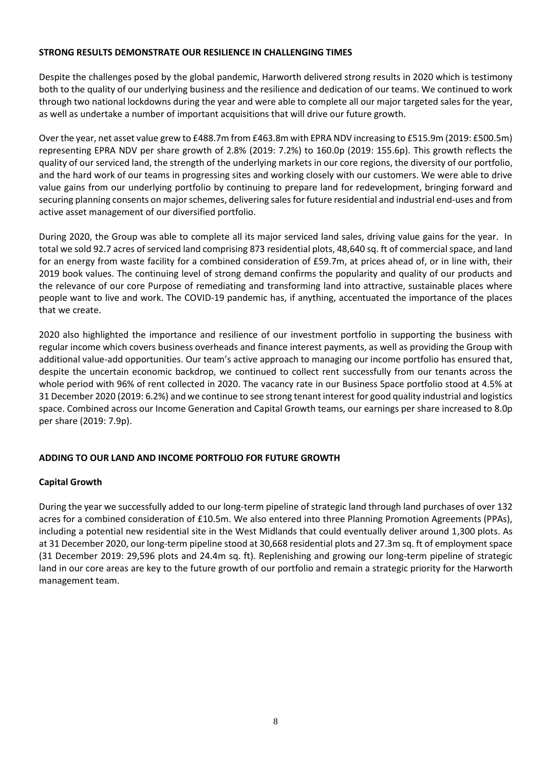## **STRONG RESULTS DEMONSTRATE OUR RESILIENCE IN CHALLENGING TIMES**

Despite the challenges posed by the global pandemic, Harworth delivered strong results in 2020 which is testimony both to the quality of our underlying business and the resilience and dedication of our teams. We continued to work through two national lockdowns during the year and were able to complete all our major targeted sales for the year, as well as undertake a number of important acquisitions that will drive our future growth.

Over the year, net asset value grew to £488.7m from £463.8m with EPRA NDV increasing to £515.9m (2019: £500.5m) representing EPRA NDV per share growth of 2.8% (2019: 7.2%) to 160.0p (2019: 155.6p). This growth reflects the quality of our serviced land, the strength of the underlying markets in our core regions, the diversity of our portfolio, and the hard work of our teams in progressing sites and working closely with our customers. We were able to drive value gains from our underlying portfolio by continuing to prepare land for redevelopment, bringing forward and securing planning consents on major schemes, delivering sales for future residential and industrial end-uses and from active asset management of our diversified portfolio.

During 2020, the Group was able to complete all its major serviced land sales, driving value gains for the year. In total we sold 92.7 acres of serviced land comprising 873 residential plots, 48,640 sq. ft of commercial space, and land for an energy from waste facility for a combined consideration of £59.7m, at prices ahead of, or in line with, their 2019 book values. The continuing level of strong demand confirms the popularity and quality of our products and the relevance of our core Purpose of remediating and transforming land into attractive, sustainable places where people want to live and work. The COVID-19 pandemic has, if anything, accentuated the importance of the places that we create.

2020 also highlighted the importance and resilience of our investment portfolio in supporting the business with regular income which covers business overheads and finance interest payments, as well as providing the Group with additional value-add opportunities. Our team's active approach to managing our income portfolio has ensured that, despite the uncertain economic backdrop, we continued to collect rent successfully from our tenants across the whole period with 96% of rent collected in 2020. The vacancy rate in our Business Space portfolio stood at 4.5% at 31 December 2020 (2019: 6.2%) and we continue to see strong tenant interest for good quality industrial and logistics space. Combined across our Income Generation and Capital Growth teams, our earnings per share increased to 8.0p per share (2019: 7.9p).

## **ADDING TO OUR LAND AND INCOME PORTFOLIO FOR FUTURE GROWTH**

## **Capital Growth**

During the year we successfully added to our long-term pipeline of strategic land through land purchases of over 132 acres for a combined consideration of £10.5m. We also entered into three Planning Promotion Agreements (PPAs), including a potential new residential site in the West Midlands that could eventually deliver around 1,300 plots. As at 31 December 2020, our long-term pipeline stood at 30,668 residential plots and 27.3m sq. ft of employment space (31 December 2019: 29,596 plots and 24.4m sq. ft). Replenishing and growing our long-term pipeline of strategic land in our core areas are key to the future growth of our portfolio and remain a strategic priority for the Harworth management team.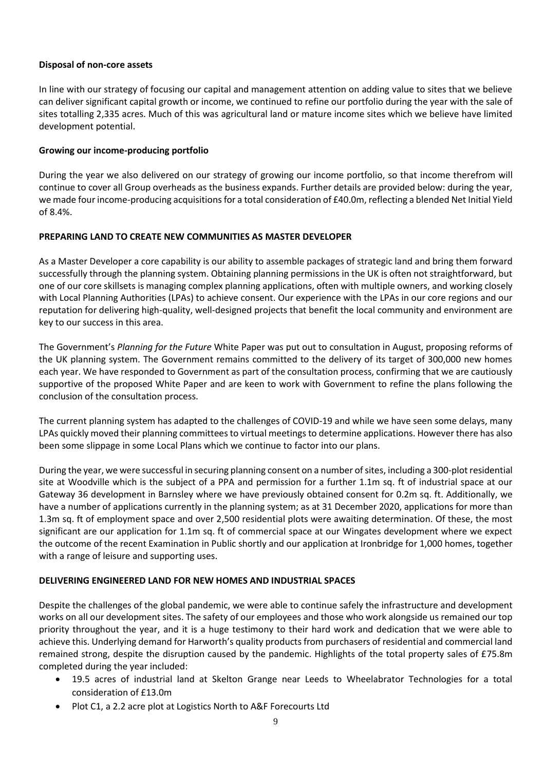## **Disposal of non-core assets**

In line with our strategy of focusing our capital and management attention on adding value to sites that we believe can deliver significant capital growth or income, we continued to refine our portfolio during the year with the sale of sites totalling 2,335 acres. Much of this was agricultural land or mature income sites which we believe have limited development potential.

## **Growing our income-producing portfolio**

During the year we also delivered on our strategy of growing our income portfolio, so that income therefrom will continue to cover all Group overheads as the business expands. Further details are provided below: during the year, we made four income-producing acquisitions for a total consideration of £40.0m, reflecting a blended Net Initial Yield of 8.4%.

## **PREPARING LAND TO CREATE NEW COMMUNITIES AS MASTER DEVELOPER**

As a Master Developer a core capability is our ability to assemble packages of strategic land and bring them forward successfully through the planning system. Obtaining planning permissions in the UK is often not straightforward, but one of our core skillsets is managing complex planning applications, often with multiple owners, and working closely with Local Planning Authorities (LPAs) to achieve consent. Our experience with the LPAs in our core regions and our reputation for delivering high-quality, well-designed projects that benefit the local community and environment are key to our success in this area.

The Government's *Planning for the Future* White Paper was put out to consultation in August, proposing reforms of the UK planning system. The Government remains committed to the delivery of its target of 300,000 new homes each year. We have responded to Government as part of the consultation process, confirming that we are cautiously supportive of the proposed White Paper and are keen to work with Government to refine the plans following the conclusion of the consultation process.

The current planning system has adapted to the challenges of COVID-19 and while we have seen some delays, many LPAs quickly moved their planning committees to virtual meetings to determine applications. However there has also been some slippage in some Local Plans which we continue to factor into our plans.

During the year, we were successful in securing planning consent on a number of sites, including a 300-plot residential site at Woodville which is the subject of a PPA and permission for a further 1.1m sq. ft of industrial space at our Gateway 36 development in Barnsley where we have previously obtained consent for 0.2m sq. ft. Additionally, we have a number of applications currently in the planning system; as at 31 December 2020, applications for more than 1.3m sq. ft of employment space and over 2,500 residential plots were awaiting determination. Of these, the most significant are our application for 1.1m sq. ft of commercial space at our Wingates development where we expect the outcome of the recent Examination in Public shortly and our application at Ironbridge for 1,000 homes, together with a range of leisure and supporting uses.

### **DELIVERING ENGINEERED LAND FOR NEW HOMES AND INDUSTRIAL SPACES**

Despite the challenges of the global pandemic, we were able to continue safely the infrastructure and development works on all our development sites. The safety of our employees and those who work alongside us remained our top priority throughout the year, and it is a huge testimony to their hard work and dedication that we were able to achieve this. Underlying demand for Harworth's quality products from purchasers of residential and commercial land remained strong, despite the disruption caused by the pandemic. Highlights of the total property sales of £75.8m completed during the year included:

- 19.5 acres of industrial land at Skelton Grange near Leeds to Wheelabrator Technologies for a total consideration of £13.0m
- Plot C1, a 2.2 acre plot at Logistics North to A&F Forecourts Ltd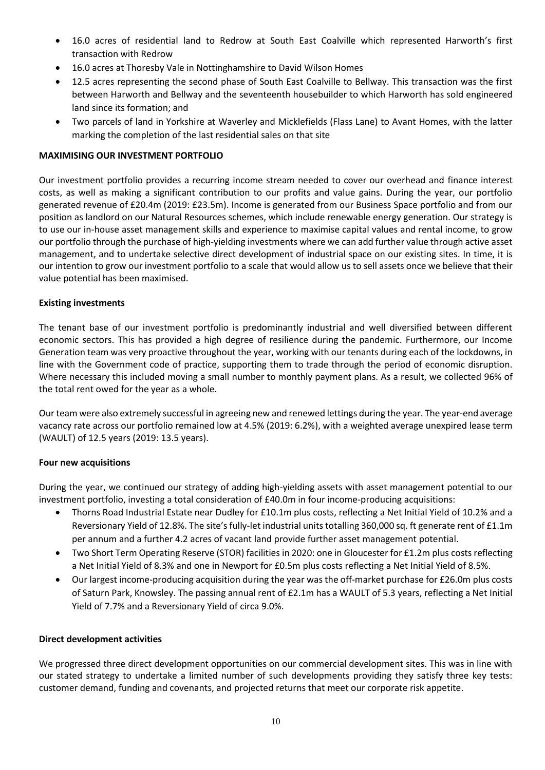- 16.0 acres of residential land to Redrow at South East Coalville which represented Harworth's first transaction with Redrow
- 16.0 acres at Thoresby Vale in Nottinghamshire to David Wilson Homes
- 12.5 acres representing the second phase of South East Coalville to Bellway. This transaction was the first between Harworth and Bellway and the seventeenth housebuilder to which Harworth has sold engineered land since its formation; and
- Two parcels of land in Yorkshire at Waverley and Micklefields (Flass Lane) to Avant Homes, with the latter marking the completion of the last residential sales on that site

## **MAXIMISING OUR INVESTMENT PORTFOLIO**

Our investment portfolio provides a recurring income stream needed to cover our overhead and finance interest costs, as well as making a significant contribution to our profits and value gains. During the year, our portfolio generated revenue of £20.4m (2019: £23.5m). Income is generated from our Business Space portfolio and from our position as landlord on our Natural Resources schemes, which include renewable energy generation. Our strategy is to use our in-house asset management skills and experience to maximise capital values and rental income, to grow our portfolio through the purchase of high-yielding investments where we can add further value through active asset management, and to undertake selective direct development of industrial space on our existing sites. In time, it is our intention to grow our investment portfolio to a scale that would allow us to sell assets once we believe that their value potential has been maximised.

## **Existing investments**

The tenant base of our investment portfolio is predominantly industrial and well diversified between different economic sectors. This has provided a high degree of resilience during the pandemic. Furthermore, our Income Generation team was very proactive throughout the year, working with our tenants during each of the lockdowns, in line with the Government code of practice, supporting them to trade through the period of economic disruption. Where necessary this included moving a small number to monthly payment plans. As a result, we collected 96% of the total rent owed for the year as a whole.

Ourteam were also extremely successful in agreeing new and renewed lettings during the year. The year-end average vacancy rate across our portfolio remained low at 4.5% (2019: 6.2%), with a weighted average unexpired lease term (WAULT) of 12.5 years (2019: 13.5 years).

### **Four new acquisitions**

During the year, we continued our strategy of adding high-yielding assets with asset management potential to our investment portfolio, investing a total consideration of £40.0m in four income-producing acquisitions:

- Thorns Road Industrial Estate near Dudley for £10.1m plus costs, reflecting a Net Initial Yield of 10.2% and a Reversionary Yield of 12.8%. The site's fully-let industrial units totalling 360,000 sq. ft generate rent of £1.1m per annum and a further 4.2 acres of vacant land provide further asset management potential.
- Two Short Term Operating Reserve (STOR) facilities in 2020: one in Gloucester for £1.2m plus costs reflecting a Net Initial Yield of 8.3% and one in Newport for £0.5m plus costs reflecting a Net Initial Yield of 8.5%.
- Our largest income-producing acquisition during the year was the off-market purchase for £26.0m plus costs of Saturn Park, Knowsley. The passing annual rent of £2.1m has a WAULT of 5.3 years, reflecting a Net Initial Yield of 7.7% and a Reversionary Yield of circa 9.0%.

### **Direct development activities**

We progressed three direct development opportunities on our commercial development sites. This was in line with our stated strategy to undertake a limited number of such developments providing they satisfy three key tests: customer demand, funding and covenants, and projected returns that meet our corporate risk appetite.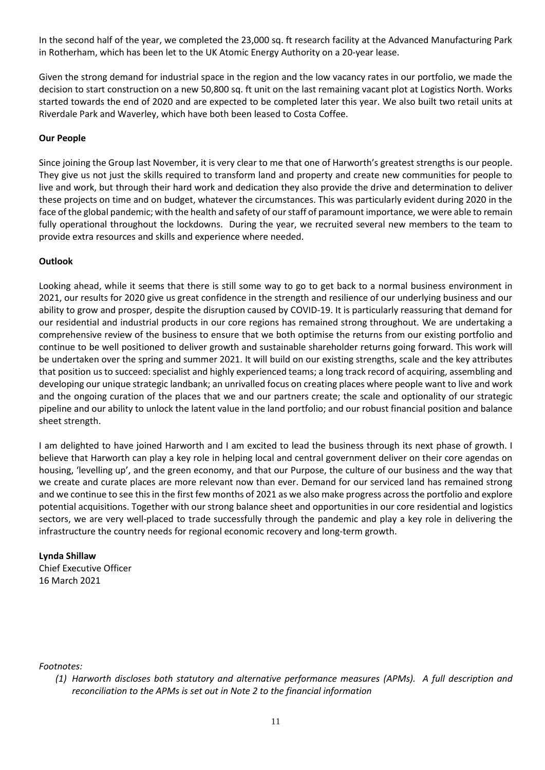In the second half of the year, we completed the 23,000 sq. ft research facility at the Advanced Manufacturing Park in Rotherham, which has been let to the UK Atomic Energy Authority on a 20-year lease.

Given the strong demand for industrial space in the region and the low vacancy rates in our portfolio, we made the decision to start construction on a new 50,800 sq. ft unit on the last remaining vacant plot at Logistics North. Works started towards the end of 2020 and are expected to be completed later this year. We also built two retail units at Riverdale Park and Waverley, which have both been leased to Costa Coffee.

## **Our People**

Since joining the Group last November, it is very clear to me that one of Harworth's greatest strengths is our people. They give us not just the skills required to transform land and property and create new communities for people to live and work, but through their hard work and dedication they also provide the drive and determination to deliver these projects on time and on budget, whatever the circumstances. This was particularly evident during 2020 in the face of the global pandemic; with the health and safety of our staff of paramount importance, we were able to remain fully operational throughout the lockdowns. During the year, we recruited several new members to the team to provide extra resources and skills and experience where needed.

## **Outlook**

Looking ahead, while it seems that there is still some way to go to get back to a normal business environment in 2021, our results for 2020 give us great confidence in the strength and resilience of our underlying business and our ability to grow and prosper, despite the disruption caused by COVID-19. It is particularly reassuring that demand for our residential and industrial products in our core regions has remained strong throughout. We are undertaking a comprehensive review of the business to ensure that we both optimise the returns from our existing portfolio and continue to be well positioned to deliver growth and sustainable shareholder returns going forward. This work will be undertaken over the spring and summer 2021. It will build on our existing strengths, scale and the key attributes that position us to succeed: specialist and highly experienced teams; a long track record of acquiring, assembling and developing our unique strategic landbank; an unrivalled focus on creating places where people want to live and work and the ongoing curation of the places that we and our partners create; the scale and optionality of our strategic pipeline and our ability to unlock the latent value in the land portfolio; and our robust financial position and balance sheet strength.

I am delighted to have joined Harworth and I am excited to lead the business through its next phase of growth. I believe that Harworth can play a key role in helping local and central government deliver on their core agendas on housing, 'levelling up', and the green economy, and that our Purpose, the culture of our business and the way that we create and curate places are more relevant now than ever. Demand for our serviced land has remained strong and we continue to see this in the first few months of 2021 as we also make progress across the portfolio and explore potential acquisitions. Together with our strong balance sheet and opportunities in our core residential and logistics sectors, we are very well-placed to trade successfully through the pandemic and play a key role in delivering the infrastructure the country needs for regional economic recovery and long-term growth.

## **Lynda Shillaw**

Chief Executive Officer 16 March 2021

*Footnotes:*

*<sup>(1)</sup> Harworth discloses both statutory and alternative performance measures (APMs). A full description and reconciliation to the APMs is set out in Note 2 to the financial information*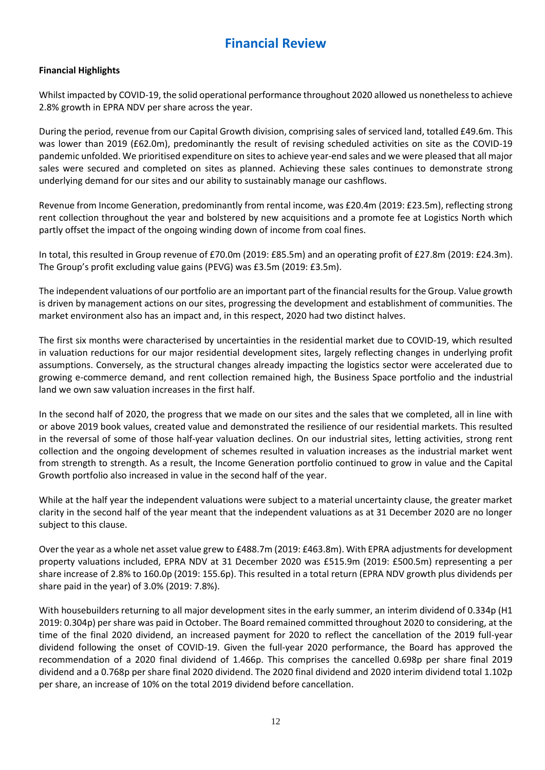## **Financial Review**

## **Financial Highlights**

Whilst impacted by COVID-19, the solid operational performance throughout 2020 allowed us nonetheless to achieve 2.8% growth in EPRA NDV per share across the year.

During the period, revenue from our Capital Growth division, comprising sales of serviced land, totalled £49.6m. This was lower than 2019 (£62.0m), predominantly the result of revising scheduled activities on site as the COVID-19 pandemic unfolded. We prioritised expenditure on sites to achieve year-end sales and we were pleased that all major sales were secured and completed on sites as planned. Achieving these sales continues to demonstrate strong underlying demand for our sites and our ability to sustainably manage our cashflows.

Revenue from Income Generation, predominantly from rental income, was £20.4m (2019: £23.5m), reflecting strong rent collection throughout the year and bolstered by new acquisitions and a promote fee at Logistics North which partly offset the impact of the ongoing winding down of income from coal fines.

In total, this resulted in Group revenue of £70.0m (2019: £85.5m) and an operating profit of £27.8m (2019: £24.3m). The Group's profit excluding value gains (PEVG) was £3.5m (2019: £3.5m).

The independent valuations of our portfolio are an important part of the financial results for the Group. Value growth is driven by management actions on our sites, progressing the development and establishment of communities. The market environment also has an impact and, in this respect, 2020 had two distinct halves.

The first six months were characterised by uncertainties in the residential market due to COVID-19, which resulted in valuation reductions for our major residential development sites, largely reflecting changes in underlying profit assumptions. Conversely, as the structural changes already impacting the logistics sector were accelerated due to growing e-commerce demand, and rent collection remained high, the Business Space portfolio and the industrial land we own saw valuation increases in the first half.

In the second half of 2020, the progress that we made on our sites and the sales that we completed, all in line with or above 2019 book values, created value and demonstrated the resilience of our residential markets. This resulted in the reversal of some of those half-year valuation declines. On our industrial sites, letting activities, strong rent collection and the ongoing development of schemes resulted in valuation increases as the industrial market went from strength to strength. As a result, the Income Generation portfolio continued to grow in value and the Capital Growth portfolio also increased in value in the second half of the year.

While at the half year the independent valuations were subject to a material uncertainty clause, the greater market clarity in the second half of the year meant that the independent valuations as at 31 December 2020 are no longer subject to this clause.

Over the year as a whole net asset value grew to £488.7m (2019: £463.8m). With EPRA adjustments for development property valuations included, EPRA NDV at 31 December 2020 was £515.9m (2019: £500.5m) representing a per share increase of 2.8% to 160.0p (2019: 155.6p). This resulted in a total return (EPRA NDV growth plus dividends per share paid in the year) of 3.0% (2019: 7.8%).

With housebuilders returning to all major development sites in the early summer, an interim dividend of 0.334p (H1 2019: 0.304p) per share was paid in October. The Board remained committed throughout 2020 to considering, at the time of the final 2020 dividend, an increased payment for 2020 to reflect the cancellation of the 2019 full-year dividend following the onset of COVID-19. Given the full-year 2020 performance, the Board has approved the recommendation of a 2020 final dividend of 1.466p. This comprises the cancelled 0.698p per share final 2019 dividend and a 0.768p per share final 2020 dividend. The 2020 final dividend and 2020 interim dividend total 1.102p per share, an increase of 10% on the total 2019 dividend before cancellation.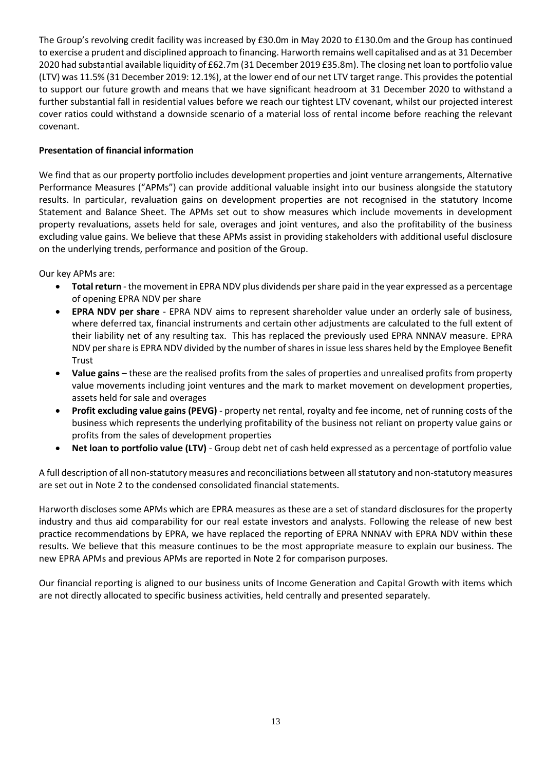The Group's revolving credit facility was increased by £30.0m in May 2020 to £130.0m and the Group has continued to exercise a prudent and disciplined approach to financing. Harworth remains well capitalised and as at 31 December 2020 had substantial available liquidity of £62.7m (31 December 2019 £35.8m). The closing net loan to portfolio value (LTV) was 11.5% (31 December 2019: 12.1%), at the lower end of our net LTV target range. This provides the potential to support our future growth and means that we have significant headroom at 31 December 2020 to withstand a further substantial fall in residential values before we reach our tightest LTV covenant, whilst our projected interest cover ratios could withstand a downside scenario of a material loss of rental income before reaching the relevant covenant.

## **Presentation of financial information**

We find that as our property portfolio includes development properties and joint venture arrangements, Alternative Performance Measures ("APMs") can provide additional valuable insight into our business alongside the statutory results. In particular, revaluation gains on development properties are not recognised in the statutory Income Statement and Balance Sheet. The APMs set out to show measures which include movements in development property revaluations, assets held for sale, overages and joint ventures, and also the profitability of the business excluding value gains. We believe that these APMs assist in providing stakeholders with additional useful disclosure on the underlying trends, performance and position of the Group.

Our key APMs are:

- **Total return** the movement in EPRA NDV plus dividends per share paid in the year expressed as a percentage of opening EPRA NDV per share
- **EPRA NDV per share** EPRA NDV aims to represent shareholder value under an orderly sale of business, where deferred tax, financial instruments and certain other adjustments are calculated to the full extent of their liability net of any resulting tax. This has replaced the previously used EPRA NNNAV measure. EPRA NDV per share is EPRA NDV divided by the number of shares in issue less shares held by the Employee Benefit Trust
- **Value gains**  these are the realised profits from the sales of properties and unrealised profits from property value movements including joint ventures and the mark to market movement on development properties, assets held for sale and overages
- **Profit excluding value gains (PEVG)** property net rental, royalty and fee income, net of running costs of the business which represents the underlying profitability of the business not reliant on property value gains or profits from the sales of development properties
- **Net loan to portfolio value (LTV)** Group debt net of cash held expressed as a percentage of portfolio value

A full description of all non-statutory measures and reconciliations between all statutory and non-statutory measures are set out in Note 2 to the condensed consolidated financial statements.

Harworth discloses some APMs which are EPRA measures as these are a set of standard disclosures for the property industry and thus aid comparability for our real estate investors and analysts. Following the release of new best practice recommendations by EPRA, we have replaced the reporting of EPRA NNNAV with EPRA NDV within these results. We believe that this measure continues to be the most appropriate measure to explain our business. The new EPRA APMs and previous APMs are reported in Note 2 for comparison purposes.

Our financial reporting is aligned to our business units of Income Generation and Capital Growth with items which are not directly allocated to specific business activities, held centrally and presented separately.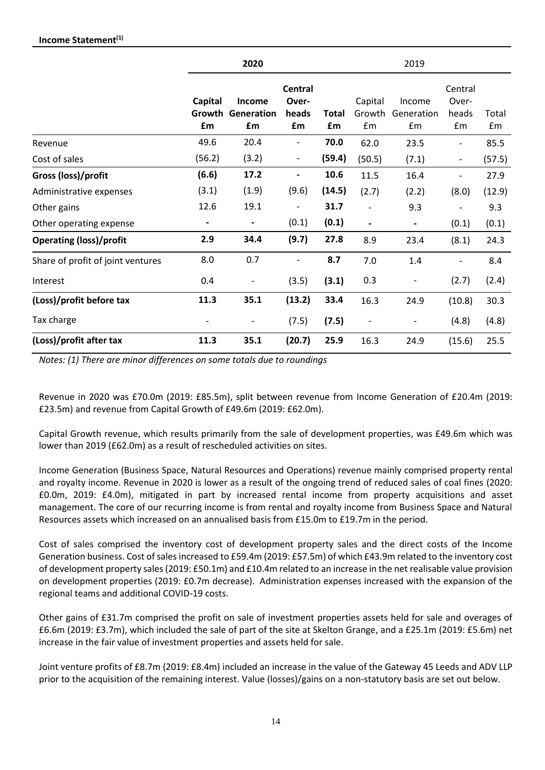|                                   | 2020                           |                                   |                                        |                    | 2019                         |                            |                                 |                        |
|-----------------------------------|--------------------------------|-----------------------------------|----------------------------------------|--------------------|------------------------------|----------------------------|---------------------------------|------------------------|
|                                   | <b>Capital</b><br>Growth<br>£m | <b>Income</b><br>Generation<br>£m | <b>Central</b><br>Over-<br>heads<br>£m | <b>Total</b><br>£m | Capital<br>Growth<br>£m      | Income<br>Generation<br>£m | Central<br>Over-<br>heads<br>£m | Total<br>$\mathsf{fm}$ |
| Revenue                           | 49.6                           | 20.4                              | $\overline{a}$                         | 70.0               | 62.0                         | 23.5                       |                                 | 85.5                   |
| Cost of sales                     | (56.2)                         | (3.2)                             | $\overline{\phantom{0}}$               | (59.4)             | (50.5)                       | (7.1)                      | $\overline{\phantom{a}}$        | (57.5)                 |
| Gross (loss)/profit               | (6.6)                          | 17.2                              | -                                      | 10.6               | 11.5                         | 16.4                       |                                 | 27.9                   |
| Administrative expenses           | (3.1)                          | (1.9)                             | (9.6)                                  | (14.5)             | (2.7)                        | (2.2)                      | (8.0)                           | (12.9)                 |
| Other gains                       | 12.6                           | 19.1                              | -                                      | 31.7               |                              | 9.3                        |                                 | 9.3                    |
| Other operating expense           | $\blacksquare$                 | $\overline{\phantom{a}}$          | (0.1)                                  | (0.1)              | $\overline{\phantom{a}}$     | $\blacksquare$             | (0.1)                           | (0.1)                  |
| <b>Operating (loss)/profit</b>    | 2.9                            | 34.4                              | (9.7)                                  | 27.8               | 8.9                          | 23.4                       | (8.1)                           | 24.3                   |
| Share of profit of joint ventures | 8.0                            | 0.7                               | -                                      | 8.7                | 7.0                          | 1.4                        |                                 | 8.4                    |
| Interest                          | 0.4                            | $\overline{\phantom{a}}$          | (3.5)                                  | (3.1)              | 0.3                          | $\overline{\phantom{a}}$   | (2.7)                           | (2.4)                  |
| (Loss)/profit before tax          | 11.3                           | 35.1                              | (13.2)                                 | 33.4               | 16.3                         | 24.9                       | (10.8)                          | 30.3                   |
| Tax charge                        | $\overline{\phantom{a}}$       | $\qquad \qquad \blacksquare$      | (7.5)                                  | (7.5)              | $\qquad \qquad \blacksquare$ |                            | (4.8)                           | (4.8)                  |
| (Loss)/profit after tax           | 11.3                           | 35.1                              | (20.7)                                 | 25.9               | 16.3                         | 24.9                       | (15.6)                          | 25.5                   |

*Notes: (1) There are minor differences on some totals due to roundings* 

Revenue in 2020 was £70.0m (2019: £85.5m), split between revenue from Income Generation of £20.4m (2019: £23.5m) and revenue from Capital Growth of £49.6m (2019: £62.0m).

Capital Growth revenue, which results primarily from the sale of development properties, was £49.6m which was lower than 2019 (£62.0m) as a result of rescheduled activities on sites.

Income Generation (Business Space, Natural Resources and Operations) revenue mainly comprised property rental and royalty income. Revenue in 2020 is lower as a result of the ongoing trend of reduced sales of coal fines (2020: £0.0m, 2019: £4.0m), mitigated in part by increased rental income from property acquisitions and asset management. The core of our recurring income is from rental and royalty income from Business Space and Natural Resources assets which increased on an annualised basis from £15.0m to £19.7m in the period.

Cost of sales comprised the inventory cost of development property sales and the direct costs of the Income Generation business. Cost of sales increased to £59.4m (2019: £57.5m) of which £43.9m related to the inventory cost of development property sales (2019: £50.1m) and £10.4m related to an increase in the net realisable value provision on development properties (2019: £0.7m decrease). Administration expenses increased with the expansion of the regional teams and additional COVID-19 costs.

Other gains of £31.7m comprised the profit on sale of investment properties assets held for sale and overages of £6.6m (2019: £3.7m), which included the sale of part of the site at Skelton Grange, and a £25.1m (2019: £5.6m) net increase in the fair value of investment properties and assets held for sale.

Joint venture profits of £8.7m (2019: £8.4m) included an increase in the value of the Gateway 45 Leeds and ADV LLP prior to the acquisition of the remaining interest. Value (losses)/gains on a non-statutory basis are set out below.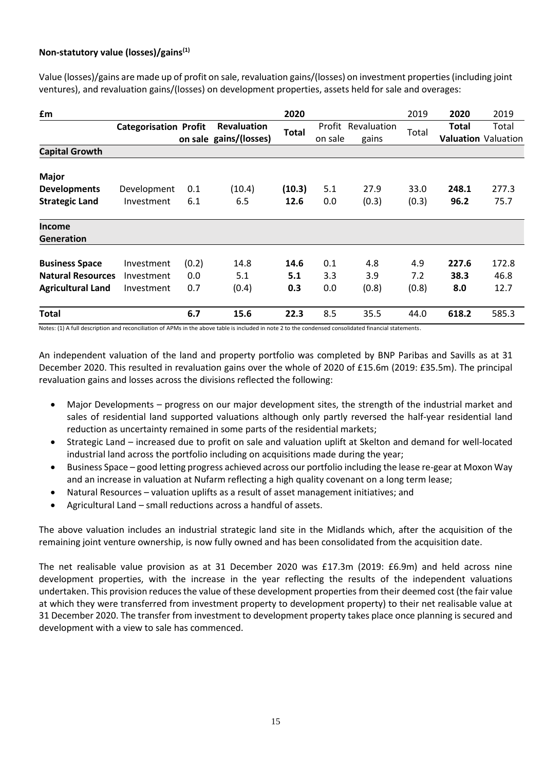## **Non-statutory value (losses)/gains(1)**

Value (losses)/gains are made up of profit on sale, revaluation gains/(losses) on investment properties (including joint ventures), and revaluation gains/(losses) on development properties, assets held for sale and overages:

| £m                       |                              |       |                        | 2020   |         |                    | 2019  | 2020         | 2019                       |
|--------------------------|------------------------------|-------|------------------------|--------|---------|--------------------|-------|--------------|----------------------------|
|                          | <b>Categorisation Profit</b> |       | <b>Revaluation</b>     | Total  |         | Profit Revaluation | Total | <b>Total</b> | Total                      |
|                          |                              |       | on sale gains/(losses) |        | on sale | gains              |       |              | <b>Valuation Valuation</b> |
| <b>Capital Growth</b>    |                              |       |                        |        |         |                    |       |              |                            |
| <b>Major</b>             |                              |       |                        |        |         |                    |       |              |                            |
| <b>Developments</b>      | Development                  | 0.1   | (10.4)                 | (10.3) | 5.1     | 27.9               | 33.0  | 248.1        | 277.3                      |
| <b>Strategic Land</b>    | Investment                   | 6.1   | 6.5                    | 12.6   | 0.0     | (0.3)              | (0.3) | 96.2         | 75.7                       |
| <b>Income</b>            |                              |       |                        |        |         |                    |       |              |                            |
| <b>Generation</b>        |                              |       |                        |        |         |                    |       |              |                            |
| <b>Business Space</b>    | Investment                   | (0.2) | 14.8                   | 14.6   | 0.1     | 4.8                | 4.9   | 227.6        | 172.8                      |
| <b>Natural Resources</b> | Investment                   | 0.0   | 5.1                    | 5.1    | 3.3     | 3.9                | 7.2   | 38.3         | 46.8                       |
| <b>Agricultural Land</b> | Investment                   | 0.7   | (0.4)                  | 0.3    | 0.0     | (0.8)              | (0.8) | 8.0          | 12.7                       |
| <b>Total</b>             |                              | 6.7   | 15.6                   | 22.3   | 8.5     | 35.5               | 44.0  | 618.2        | 585.3                      |

Notes: (1) A full description and reconciliation of APMs in the above table is included in note 2 to the condensed consolidated financial statements.

An independent valuation of the land and property portfolio was completed by BNP Paribas and Savills as at 31 December 2020. This resulted in revaluation gains over the whole of 2020 of £15.6m (2019: £35.5m). The principal revaluation gains and losses across the divisions reflected the following:

- Major Developments progress on our major development sites, the strength of the industrial market and sales of residential land supported valuations although only partly reversed the half-year residential land reduction as uncertainty remained in some parts of the residential markets;
- Strategic Land increased due to profit on sale and valuation uplift at Skelton and demand for well-located industrial land across the portfolio including on acquisitions made during the year;
- Business Space good letting progress achieved across our portfolio including the lease re-gear at Moxon Way and an increase in valuation at Nufarm reflecting a high quality covenant on a long term lease;
- Natural Resources valuation uplifts as a result of asset management initiatives; and
- Agricultural Land small reductions across a handful of assets.

The above valuation includes an industrial strategic land site in the Midlands which, after the acquisition of the remaining joint venture ownership, is now fully owned and has been consolidated from the acquisition date.

The net realisable value provision as at 31 December 2020 was £17.3m (2019: £6.9m) and held across nine development properties, with the increase in the year reflecting the results of the independent valuations undertaken. This provision reduces the value of these development properties from their deemed cost (the fair value at which they were transferred from investment property to development property) to their net realisable value at 31 December 2020. The transfer from investment to development property takes place once planning is secured and development with a view to sale has commenced.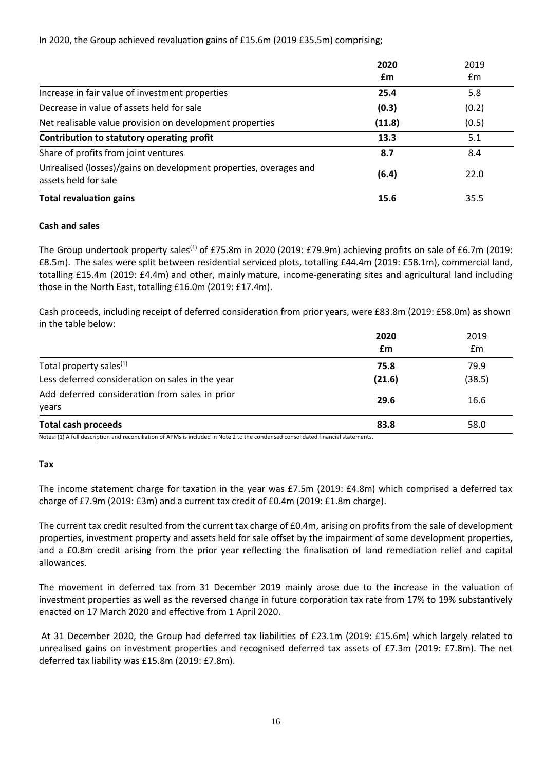In 2020, the Group achieved revaluation gains of £15.6m (2019 £35.5m) comprising;

|                                                                                           | 2020   | 2019  |
|-------------------------------------------------------------------------------------------|--------|-------|
|                                                                                           | £m     | £m    |
| Increase in fair value of investment properties                                           | 25.4   | 5.8   |
| Decrease in value of assets held for sale                                                 | (0.3)  | (0.2) |
| Net realisable value provision on development properties                                  | (11.8) | (0.5) |
| Contribution to statutory operating profit                                                | 13.3   | 5.1   |
| Share of profits from joint ventures                                                      | 8.7    | 8.4   |
| Unrealised (losses)/gains on development properties, overages and<br>assets held for sale | (6.4)  | 22.0  |
| <b>Total revaluation gains</b>                                                            | 15.6   | 35.5  |

## **Cash and sales**

The Group undertook property sales<sup>(1)</sup> of £75.8m in 2020 (2019: £79.9m) achieving profits on sale of £6.7m (2019: £8.5m). The sales were split between residential serviced plots, totalling £44.4m (2019: £58.1m), commercial land, totalling £15.4m (2019: £4.4m) and other, mainly mature, income-generating sites and agricultural land including those in the North East, totalling £16.0m (2019: £17.4m).

Cash proceeds, including receipt of deferred consideration from prior years, were £83.8m (2019: £58.0m) as shown in the table below:

|                                                         | 2020       | 2019       |
|---------------------------------------------------------|------------|------------|
| Total property sales <sup>(1)</sup>                     | £m<br>75.8 | Em<br>79.9 |
| Less deferred consideration on sales in the year        | (21.6)     | (38.5)     |
| Add deferred consideration from sales in prior<br>years | 29.6       | 16.6       |
| <b>Total cash proceeds</b>                              | 83.8       | 58.0       |

Notes: (1) A full description and reconciliation of APMs is included in Note 2 to the condensed consolidated financial statements.

### **Tax**

The income statement charge for taxation in the year was £7.5m (2019: £4.8m) which comprised a deferred tax charge of £7.9m (2019: £3m) and a current tax credit of £0.4m (2019: £1.8m charge).

The current tax credit resulted from the current tax charge of £0.4m, arising on profits from the sale of development properties, investment property and assets held for sale offset by the impairment of some development properties, and a £0.8m credit arising from the prior year reflecting the finalisation of land remediation relief and capital allowances.

The movement in deferred tax from 31 December 2019 mainly arose due to the increase in the valuation of investment properties as well as the reversed change in future corporation tax rate from 17% to 19% substantively enacted on 17 March 2020 and effective from 1 April 2020.

At 31 December 2020, the Group had deferred tax liabilities of £23.1m (2019: £15.6m) which largely related to unrealised gains on investment properties and recognised deferred tax assets of £7.3m (2019: £7.8m). The net deferred tax liability was £15.8m (2019: £7.8m).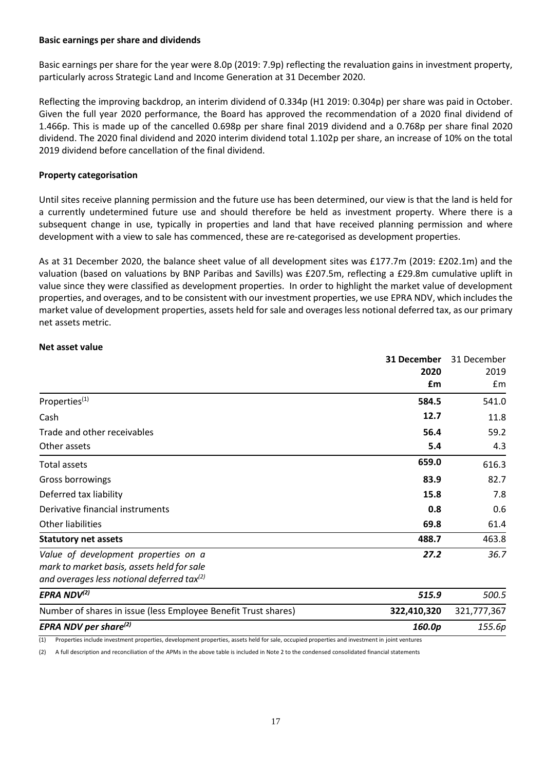#### **Basic earnings per share and dividends**

Basic earnings per share for the year were 8.0p (2019: 7.9p) reflecting the revaluation gains in investment property, particularly across Strategic Land and Income Generation at 31 December 2020.

Reflecting the improving backdrop, an interim dividend of 0.334p (H1 2019: 0.304p) per share was paid in October. Given the full year 2020 performance, the Board has approved the recommendation of a 2020 final dividend of 1.466p. This is made up of the cancelled 0.698p per share final 2019 dividend and a 0.768p per share final 2020 dividend. The 2020 final dividend and 2020 interim dividend total 1.102p per share, an increase of 10% on the total 2019 dividend before cancellation of the final dividend.

### **Property categorisation**

Until sites receive planning permission and the future use has been determined, our view is that the land is held for a currently undetermined future use and should therefore be held as investment property. Where there is a subsequent change in use, typically in properties and land that have received planning permission and where development with a view to sale has commenced, these are re-categorised as development properties.

As at 31 December 2020, the balance sheet value of all development sites was £177.7m (2019: £202.1m) and the valuation (based on valuations by BNP Paribas and Savills) was £207.5m, reflecting a £29.8m cumulative uplift in value since they were classified as development properties. In order to highlight the market value of development properties, and overages, and to be consistent with our investment properties, we use EPRA NDV, which includes the market value of development properties, assets held for sale and overages less notional deferred tax, as our primary net assets metric.

#### **Net asset value**

|                                                                                                                                                     | 31 December | 31 December |  |
|-----------------------------------------------------------------------------------------------------------------------------------------------------|-------------|-------------|--|
|                                                                                                                                                     | 2020        | 2019        |  |
|                                                                                                                                                     | £m          | Em          |  |
| Properties <sup>(1)</sup>                                                                                                                           | 584.5       | 541.0       |  |
| Cash                                                                                                                                                | 12.7        | 11.8        |  |
| Trade and other receivables                                                                                                                         | 56.4        | 59.2        |  |
| Other assets                                                                                                                                        | 5.4         | 4.3         |  |
| Total assets                                                                                                                                        | 659.0       | 616.3       |  |
| Gross borrowings                                                                                                                                    | 83.9        | 82.7        |  |
| Deferred tax liability                                                                                                                              | 15.8        | 7.8         |  |
| Derivative financial instruments                                                                                                                    | 0.8         | 0.6         |  |
| Other liabilities                                                                                                                                   | 69.8        | 61.4        |  |
| <b>Statutory net assets</b>                                                                                                                         | 488.7       | 463.8       |  |
| Value of development properties on a<br>mark to market basis, assets held for sale<br>and overages less notional deferred tax <sup>(2)</sup>        | 27.2        | 36.7        |  |
| EPRA ND $V^{(2)}$                                                                                                                                   | 515.9       | 500.5       |  |
| Number of shares in issue (less Employee Benefit Trust shares)                                                                                      | 322,410,320 | 321,777,367 |  |
| EPRA NDV per share $^{(2)}$                                                                                                                         | 160.0p      | 155.6p      |  |
| Properties include investment properties, development properties, assets held for sale, occupied properties and investment in joint ventures<br>(1) |             |             |  |

(2) A full description and reconciliation of the APMs in the above table is included in Note 2 to the condensed consolidated financial statements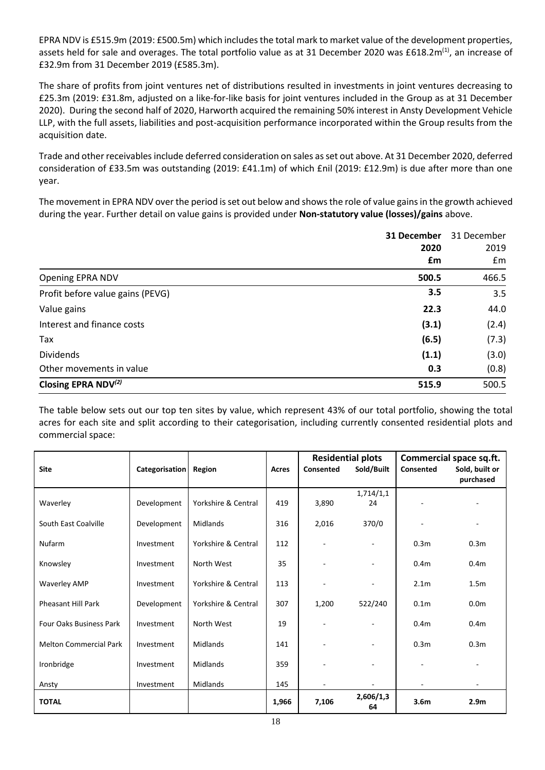EPRA NDV is £515.9m (2019: £500.5m) which includes the total mark to market value of the development properties, assets held for sale and overages. The total portfolio value as at 31 December 2020 was £618.2m<sup>(1)</sup>, an increase of £32.9m from 31 December 2019 (£585.3m).

The share of profits from joint ventures net of distributions resulted in investments in joint ventures decreasing to £25.3m (2019: £31.8m, adjusted on a like-for-like basis for joint ventures included in the Group as at 31 December 2020). During the second half of 2020, Harworth acquired the remaining 50% interest in Ansty Development Vehicle LLP, with the full assets, liabilities and post-acquisition performance incorporated within the Group results from the acquisition date.

Trade and other receivables include deferred consideration on sales as set out above. At 31 December 2020, deferred consideration of £33.5m was outstanding (2019: £41.1m) of which £nil (2019: £12.9m) is due after more than one year.

The movement in EPRA NDV over the period is set out below and shows the role of value gains in the growth achieved during the year. Further detail on value gains is provided under **Non-statutory value (losses)/gains** above.

|                                  | 31 December<br>2020<br>£m | 31 December<br>2019<br>£m |
|----------------------------------|---------------------------|---------------------------|
| Opening EPRA NDV                 | 500.5                     | 466.5                     |
| Profit before value gains (PEVG) | 3.5                       | 3.5                       |
| Value gains                      | 22.3                      | 44.0                      |
| Interest and finance costs       | (3.1)                     | (2.4)                     |
| Tax                              | (6.5)                     | (7.3)                     |
| <b>Dividends</b>                 | (1.1)                     | (3.0)                     |
| Other movements in value         | 0.3                       | (0.8)                     |
| Closing EPRA NDV <sup>(2)</sup>  | 515.9                     | 500.5                     |

The table below sets out our top ten sites by value, which represent 43% of our total portfolio, showing the total acres for each site and split according to their categorisation, including currently consented residential plots and commercial space:

|                                |                |                     |       | <b>Residential plots</b> |                          | Commercial space sq.ft. |                             |
|--------------------------------|----------------|---------------------|-------|--------------------------|--------------------------|-------------------------|-----------------------------|
| <b>Site</b>                    | Categorisation | Region              | Acres | Consented                | Sold/Built               | Consented               | Sold, built or<br>purchased |
|                                |                |                     |       |                          | 1,714/1,1                |                         |                             |
| Waverley                       | Development    | Yorkshire & Central | 419   | 3,890                    | 24                       |                         |                             |
| South East Coalville           | Development    | Midlands            | 316   | 2,016                    | 370/0                    |                         |                             |
| Nufarm                         | Investment     | Yorkshire & Central | 112   |                          |                          | 0.3 <sub>m</sub>        | 0.3 <sub>m</sub>            |
| Knowsley                       | Investment     | North West          | 35    |                          | $\overline{\phantom{a}}$ | 0.4 <sub>m</sub>        | 0.4 <sub>m</sub>            |
| <b>Waverley AMP</b>            | Investment     | Yorkshire & Central | 113   |                          | $\blacksquare$           | 2.1 <sub>m</sub>        | 1.5 <sub>m</sub>            |
| <b>Pheasant Hill Park</b>      | Development    | Yorkshire & Central | 307   | 1,200                    | 522/240                  | 0.1 <sub>m</sub>        | 0.0 <sub>m</sub>            |
| <b>Four Oaks Business Park</b> | Investment     | North West          | 19    |                          | $\blacksquare$           | 0.4 <sub>m</sub>        | 0.4 <sub>m</sub>            |
| <b>Melton Commercial Park</b>  | Investment     | Midlands            | 141   |                          | $\overline{\phantom{a}}$ | 0.3 <sub>m</sub>        | 0.3 <sub>m</sub>            |
| Ironbridge                     | Investment     | Midlands            | 359   |                          |                          |                         |                             |
| Ansty                          | Investment     | Midlands            | 145   |                          |                          |                         |                             |
| <b>TOTAL</b>                   |                |                     | 1,966 | 7,106                    | 2,606/1,3<br>64          | 3.6 <sub>m</sub>        | 2.9 <sub>m</sub>            |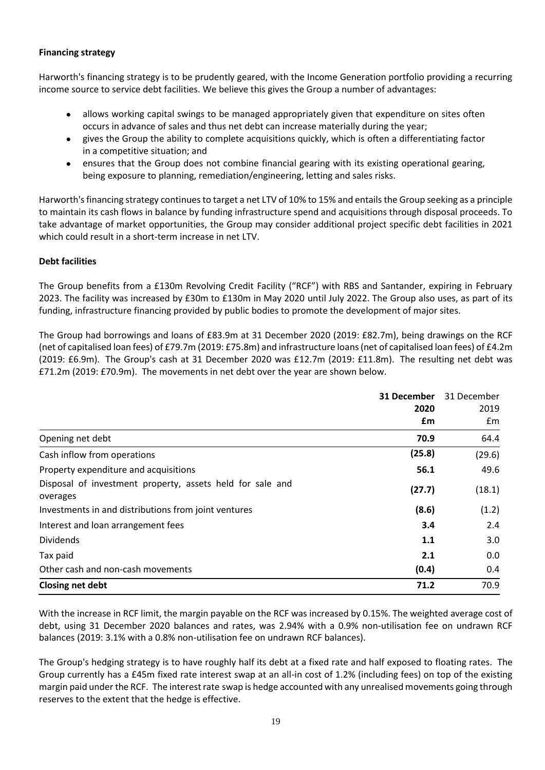## **Financing strategy**

Harworth's financing strategy is to be prudently geared, with the Income Generation portfolio providing a recurring income source to service debt facilities. We believe this gives the Group a number of advantages:

- allows working capital swings to be managed appropriately given that expenditure on sites often occurs in advance of sales and thus net debt can increase materially during the year;
- gives the Group the ability to complete acquisitions quickly, which is often a differentiating factor in a competitive situation; and
- ensures that the Group does not combine financial gearing with its existing operational gearing, being exposure to planning, remediation/engineering, letting and sales risks.

Harworth's financing strategy continues to target a net LTV of 10% to 15% and entails the Group seeking as a principle to maintain its cash flows in balance by funding infrastructure spend and acquisitions through disposal proceeds. To take advantage of market opportunities, the Group may consider additional project specific debt facilities in 2021 which could result in a short-term increase in net LTV.

## **Debt facilities**

The Group benefits from a £130m Revolving Credit Facility ("RCF") with RBS and Santander, expiring in February 2023. The facility was increased by £30m to £130m in May 2020 until July 2022. The Group also uses, as part of its funding, infrastructure financing provided by public bodies to promote the development of major sites.

The Group had borrowings and loans of £83.9m at 31 December 2020 (2019: £82.7m), being drawings on the RCF (net of capitalised loan fees) of £79.7m (2019: £75.8m) and infrastructure loans (net of capitalised loan fees) of £4.2m (2019: £6.9m). The Group's cash at 31 December 2020 was £12.7m (2019: £11.8m). The resulting net debt was £71.2m (2019: £70.9m). The movements in net debt over the year are shown below.

|                                                           | 31 December | 31 December |  |
|-----------------------------------------------------------|-------------|-------------|--|
|                                                           | 2020        | 2019        |  |
|                                                           | £m          | £m          |  |
| Opening net debt                                          | 70.9        | 64.4        |  |
| Cash inflow from operations                               | (25.8)      | (29.6)      |  |
| Property expenditure and acquisitions                     | 56.1        | 49.6        |  |
| Disposal of investment property, assets held for sale and | (27.7)      | (18.1)      |  |
| overages                                                  |             |             |  |
| Investments in and distributions from joint ventures      | (8.6)       | (1.2)       |  |
| Interest and loan arrangement fees                        | 3.4         | 2.4         |  |
| <b>Dividends</b>                                          | 1.1         | 3.0         |  |
| Tax paid                                                  | 2.1         | 0.0         |  |
| Other cash and non-cash movements                         | (0.4)       | 0.4         |  |
| <b>Closing net debt</b>                                   | 71.2        | 70.9        |  |

With the increase in RCF limit, the margin payable on the RCF was increased by 0.15%. The weighted average cost of debt, using 31 December 2020 balances and rates, was 2.94% with a 0.9% non-utilisation fee on undrawn RCF balances (2019: 3.1% with a 0.8% non-utilisation fee on undrawn RCF balances).

The Group's hedging strategy is to have roughly half its debt at a fixed rate and half exposed to floating rates. The Group currently has a £45m fixed rate interest swap at an all-in cost of 1.2% (including fees) on top of the existing margin paid under the RCF. The interest rate swap is hedge accounted with any unrealised movements going through reserves to the extent that the hedge is effective.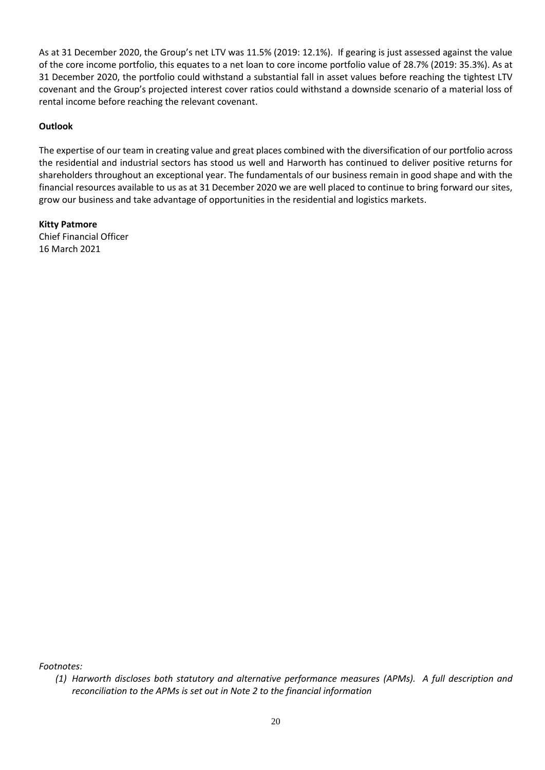As at 31 December 2020, the Group's net LTV was 11.5% (2019: 12.1%). If gearing is just assessed against the value of the core income portfolio, this equates to a net loan to core income portfolio value of 28.7% (2019: 35.3%). As at 31 December 2020, the portfolio could withstand a substantial fall in asset values before reaching the tightest LTV covenant and the Group's projected interest cover ratios could withstand a downside scenario of a material loss of rental income before reaching the relevant covenant.

## **Outlook**

The expertise of our team in creating value and great places combined with the diversification of our portfolio across the residential and industrial sectors has stood us well and Harworth has continued to deliver positive returns for shareholders throughout an exceptional year. The fundamentals of our business remain in good shape and with the financial resources available to us as at 31 December 2020 we are well placed to continue to bring forward our sites, grow our business and take advantage of opportunities in the residential and logistics markets.

**Kitty Patmore** Chief Financial Officer 16 March 2021

*Footnotes:*

*<sup>(1)</sup> Harworth discloses both statutory and alternative performance measures (APMs). A full description and reconciliation to the APMs is set out in Note 2 to the financial information*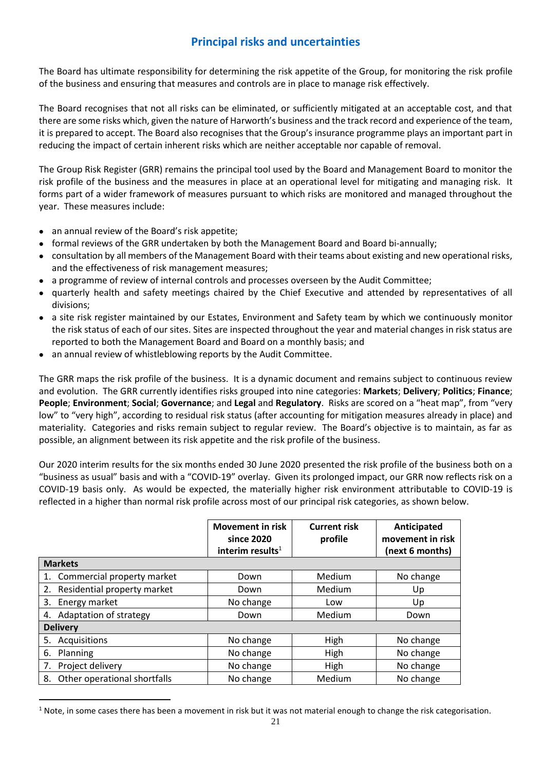## **Principal risks and uncertainties**

The Board has ultimate responsibility for determining the risk appetite of the Group, for monitoring the risk profile of the business and ensuring that measures and controls are in place to manage risk effectively.

The Board recognises that not all risks can be eliminated, or sufficiently mitigated at an acceptable cost, and that there are some risks which, given the nature of Harworth's business and the track record and experience of the team, it is prepared to accept. The Board also recognises that the Group's insurance programme plays an important part in reducing the impact of certain inherent risks which are neither acceptable nor capable of removal.

The Group Risk Register (GRR) remains the principal tool used by the Board and Management Board to monitor the risk profile of the business and the measures in place at an operational level for mitigating and managing risk. It forms part of a wider framework of measures pursuant to which risks are monitored and managed throughout the year. These measures include:

- an annual review of the Board's risk appetite;
- formal reviews of the GRR undertaken by both the Management Board and Board bi-annually;
- consultation by all members of the Management Board with their teams about existing and new operational risks, and the effectiveness of risk management measures;
- a programme of review of internal controls and processes overseen by the Audit Committee;
- quarterly health and safety meetings chaired by the Chief Executive and attended by representatives of all divisions;
- a site risk register maintained by our Estates, Environment and Safety team by which we continuously monitor the risk status of each of our sites. Sites are inspected throughout the year and material changes in risk status are reported to both the Management Board and Board on a monthly basis; and
- an annual review of whistleblowing reports by the Audit Committee.

The GRR maps the risk profile of the business. It is a dynamic document and remains subject to continuous review and evolution. The GRR currently identifies risks grouped into nine categories: **Markets**; **Delivery**; **Politics**; **Finance**; **People**; **Environment**; **Social**; **Governance**; and **Legal** and **Regulatory**. Risks are scored on a "heat map", from "very low" to "very high", according to residual risk status (after accounting for mitigation measures already in place) and materiality. Categories and risks remain subject to regular review. The Board's objective is to maintain, as far as possible, an alignment between its risk appetite and the risk profile of the business.

Our 2020 interim results for the six months ended 30 June 2020 presented the risk profile of the business both on a "business as usual" basis and with a "COVID-19" overlay. Given its prolonged impact, our GRR now reflects risk on a COVID-19 basis only. As would be expected, the materially higher risk environment attributable to COVID-19 is reflected in a higher than normal risk profile across most of our principal risk categories, as shown below.

|                                    | <b>Movement in risk</b><br>since 2020<br>interim results $1$ | <b>Current risk</b><br>profile | Anticipated<br>movement in risk<br>(next 6 months) |
|------------------------------------|--------------------------------------------------------------|--------------------------------|----------------------------------------------------|
| <b>Markets</b>                     |                                                              |                                |                                                    |
| 1. Commercial property market      | Down                                                         | Medium                         | No change                                          |
| Residential property market<br>2.  | Down                                                         | Medium                         | Up                                                 |
| 3. Energy market                   | No change                                                    | Low                            | Up                                                 |
| 4. Adaptation of strategy          | Down                                                         | Medium                         | Down                                               |
| <b>Delivery</b>                    |                                                              |                                |                                                    |
| Acquisitions<br>5.                 | No change                                                    | High                           | No change                                          |
| 6. Planning                        | No change                                                    | High                           | No change                                          |
| Project delivery<br>7.             | No change                                                    | High                           | No change                                          |
| Other operational shortfalls<br>8. | No change                                                    | Medium                         | No change                                          |

 $1$  Note, in some cases there has been a movement in risk but it was not material enough to change the risk categorisation.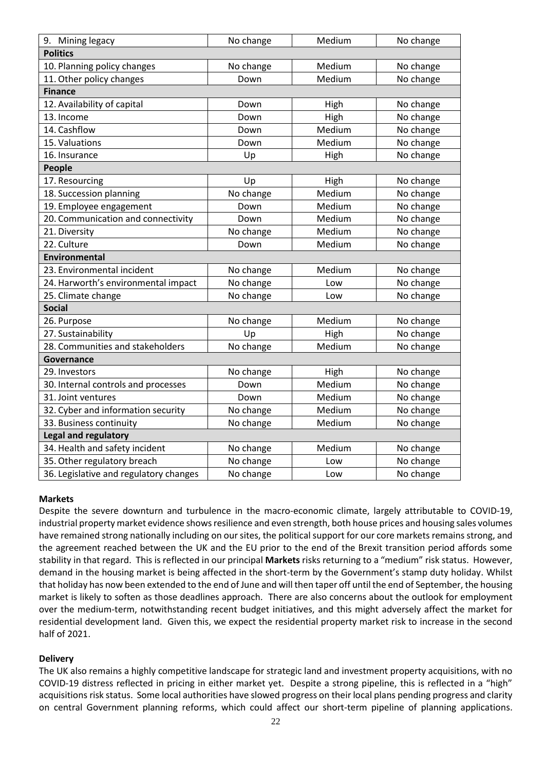| 9. Mining legacy                       | No change | Medium | No change |
|----------------------------------------|-----------|--------|-----------|
| <b>Politics</b>                        |           |        |           |
| 10. Planning policy changes            | No change | Medium | No change |
| 11. Other policy changes               | Down      | Medium | No change |
| <b>Finance</b>                         |           |        |           |
| 12. Availability of capital            | Down      | High   | No change |
| 13. Income                             | Down      | High   | No change |
| 14. Cashflow                           | Down      | Medium | No change |
| 15. Valuations                         | Down      | Medium | No change |
| 16. Insurance                          | Up        | High   | No change |
| People                                 |           |        |           |
| 17. Resourcing                         | Up        | High   | No change |
| 18. Succession planning                | No change | Medium | No change |
| 19. Employee engagement                | Down      | Medium | No change |
| 20. Communication and connectivity     | Down      | Medium | No change |
| 21. Diversity                          | No change | Medium | No change |
| 22. Culture                            | Down      | Medium | No change |
| <b>Environmental</b>                   |           |        |           |
| 23. Environmental incident             | No change | Medium | No change |
| 24. Harworth's environmental impact    | No change | Low    | No change |
| 25. Climate change                     | No change | Low    | No change |
| <b>Social</b>                          |           |        |           |
| 26. Purpose                            | No change | Medium | No change |
| 27. Sustainability                     | Up        | High   | No change |
| 28. Communities and stakeholders       | No change | Medium | No change |
| Governance                             |           |        |           |
| 29. Investors                          | No change | High   | No change |
| 30. Internal controls and processes    | Down      | Medium | No change |
| 31. Joint ventures                     | Down      | Medium | No change |
| 32. Cyber and information security     | No change | Medium | No change |
| 33. Business continuity                | No change | Medium | No change |
| Legal and regulatory                   |           |        |           |
| 34. Health and safety incident         | No change | Medium | No change |
| 35. Other regulatory breach            | No change | Low    | No change |
| 36. Legislative and regulatory changes | No change | Low    | No change |

### **Markets**

Despite the severe downturn and turbulence in the macro-economic climate, largely attributable to COVID-19, industrial property market evidence shows resilience and even strength, both house prices and housing sales volumes have remained strong nationally including on our sites, the political support for our core markets remains strong, and the agreement reached between the UK and the EU prior to the end of the Brexit transition period affords some stability in that regard. This is reflected in our principal **Markets** risks returning to a "medium" risk status. However, demand in the housing market is being affected in the short-term by the Government's stamp duty holiday. Whilst that holiday has now been extended to the end of June and will then taper off until the end of September, the housing market is likely to soften as those deadlines approach. There are also concerns about the outlook for employment over the medium-term, notwithstanding recent budget initiatives, and this might adversely affect the market for residential development land. Given this, we expect the residential property market risk to increase in the second half of 2021.

## **Delivery**

The UK also remains a highly competitive landscape for strategic land and investment property acquisitions, with no COVID-19 distress reflected in pricing in either market yet. Despite a strong pipeline, this is reflected in a "high" acquisitions risk status. Some local authorities have slowed progress on their local plans pending progress and clarity on central Government planning reforms, which could affect our short-term pipeline of planning applications.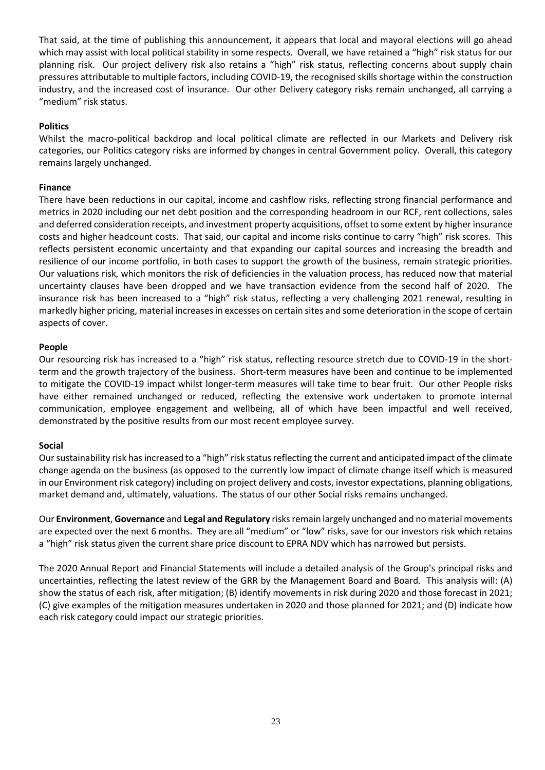That said, at the time of publishing this announcement, it appears that local and mayoral elections will go ahead which may assist with local political stability in some respects. Overall, we have retained a "high" risk status for our planning risk. Our project delivery risk also retains a "high" risk status, reflecting concerns about supply chain pressures attributable to multiple factors, including COVID-19, the recognised skills shortage within the construction industry, and the increased cost of insurance. Our other Delivery category risks remain unchanged, all carrying a "medium" risk status.

## **Politics**

Whilst the macro-political backdrop and local political climate are reflected in our Markets and Delivery risk categories, our Politics category risks are informed by changes in central Government policy. Overall, this category remains largely unchanged.

### **Finance**

There have been reductions in our capital, income and cashflow risks, reflecting strong financial performance and metrics in 2020 including our net debt position and the corresponding headroom in our RCF, rent collections, sales and deferred consideration receipts, and investment property acquisitions, offset to some extent by higher insurance costs and higher headcount costs. That said, our capital and income risks continue to carry "high" risk scores. This reflects persistent economic uncertainty and that expanding our capital sources and increasing the breadth and resilience of our income portfolio, in both cases to support the growth of the business, remain strategic priorities. Our valuations risk, which monitors the risk of deficiencies in the valuation process, has reduced now that material uncertainty clauses have been dropped and we have transaction evidence from the second half of 2020. The insurance risk has been increased to a "high" risk status, reflecting a very challenging 2021 renewal, resulting in markedly higher pricing, material increases in excesses on certain sites and some deterioration in the scope of certain aspects of cover.

## **People**

Our resourcing risk has increased to a "high" risk status, reflecting resource stretch due to COVID-19 in the shortterm and the growth trajectory of the business. Short-term measures have been and continue to be implemented to mitigate the COVID-19 impact whilst longer-term measures will take time to bear fruit. Our other People risks have either remained unchanged or reduced, reflecting the extensive work undertaken to promote internal communication, employee engagement and wellbeing, all of which have been impactful and well received, demonstrated by the positive results from our most recent employee survey.

### **Social**

Our sustainability risk has increased to a "high" risk status reflecting the current and anticipated impact of the climate change agenda on the business (as opposed to the currently low impact of climate change itself which is measured in our Environment risk category) including on project delivery and costs, investor expectations, planning obligations, market demand and, ultimately, valuations. The status of our other Social risks remains unchanged.

Our **Environment**, **Governance** and **Legal and Regulatory** risks remain largely unchanged and no material movements are expected over the next 6 months. They are all "medium" or "low" risks, save for our investors risk which retains a "high" risk status given the current share price discount to EPRA NDV which has narrowed but persists.

The 2020 Annual Report and Financial Statements will include a detailed analysis of the Group's principal risks and uncertainties, reflecting the latest review of the GRR by the Management Board and Board. This analysis will: (A) show the status of each risk, after mitigation; (B) identify movements in risk during 2020 and those forecast in 2021; (C) give examples of the mitigation measures undertaken in 2020 and those planned for 2021; and (D) indicate how each risk category could impact our strategic priorities.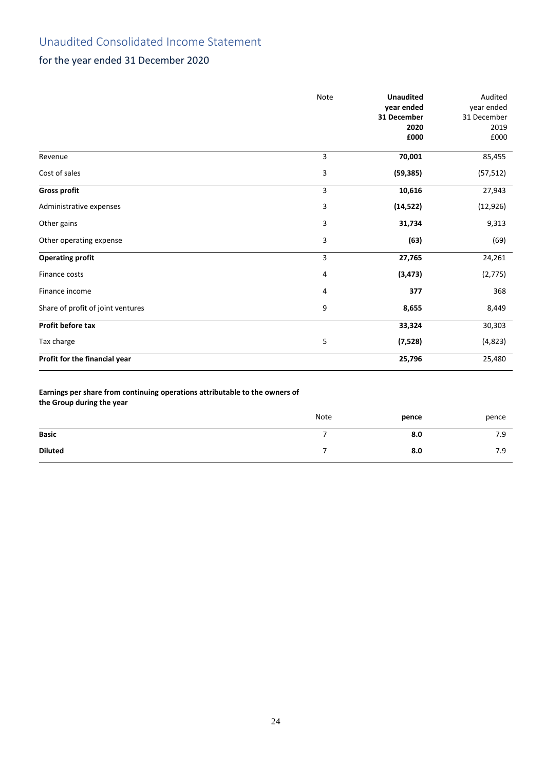## Unaudited Consolidated Income Statement

## for the year ended 31 December 2020

|                                   | <b>Note</b> | <b>Unaudited</b><br>year ended<br>31 December<br>2020<br>£000 | Audited<br>year ended<br>31 December<br>2019<br>£000 |
|-----------------------------------|-------------|---------------------------------------------------------------|------------------------------------------------------|
| Revenue                           | 3           | 70,001                                                        | 85,455                                               |
| Cost of sales                     | 3           | (59, 385)                                                     | (57, 512)                                            |
| <b>Gross profit</b>               | 3           | 10,616                                                        | 27,943                                               |
| Administrative expenses           | 3           | (14, 522)                                                     | (12, 926)                                            |
| Other gains                       | 3           | 31,734                                                        | 9,313                                                |
| Other operating expense           | 3           | (63)                                                          | (69)                                                 |
| <b>Operating profit</b>           | 3           | 27,765                                                        | 24,261                                               |
| Finance costs                     | 4           | (3, 473)                                                      | (2, 775)                                             |
| Finance income                    | 4           | 377                                                           | 368                                                  |
| Share of profit of joint ventures | 9           | 8,655                                                         | 8,449                                                |
| Profit before tax                 |             | 33,324                                                        | 30,303                                               |
| Tax charge                        | 5           | (7, 528)                                                      | (4,823)                                              |
| Profit for the financial year     |             | 25,796                                                        | 25,480                                               |

## **Earnings per share from continuing operations attributable to the owners of**

**the Group during the year**

|                | Note | pence | pence |
|----------------|------|-------|-------|
| <b>Basic</b>   |      | 8.0   | 7.9   |
| <b>Diluted</b> |      | 8.0   | 7.9   |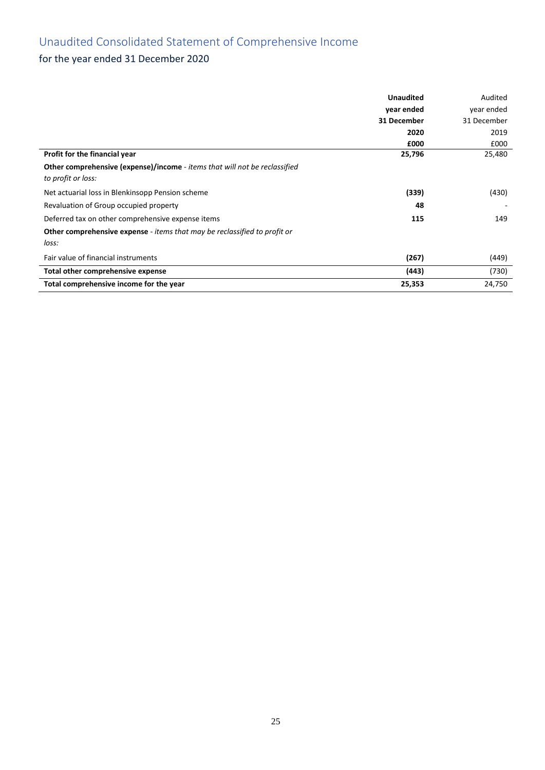# Unaudited Consolidated Statement of Comprehensive Income

## for the year ended 31 December 2020

|                                                                                   | <b>Unaudited</b> | Audited     |
|-----------------------------------------------------------------------------------|------------------|-------------|
|                                                                                   | year ended       | year ended  |
|                                                                                   | 31 December      | 31 December |
|                                                                                   | 2020             | 2019        |
|                                                                                   | £000             | £000        |
| Profit for the financial year                                                     | 25,796           | 25,480      |
| <b>Other comprehensive (expense)/income</b> - items that will not be reclassified |                  |             |
| to profit or loss:                                                                |                  |             |
| Net actuarial loss in Blenkinsopp Pension scheme                                  | (339)            | (430)       |
| Revaluation of Group occupied property                                            | 48               |             |
| Deferred tax on other comprehensive expense items                                 | 115              | 149         |
| <b>Other comprehensive expense</b> - items that may be reclassified to profit or  |                  |             |
| loss:                                                                             |                  |             |
| Fair value of financial instruments                                               | (267)            | (449)       |
| Total other comprehensive expense                                                 | (443)            | (730)       |
| Total comprehensive income for the year                                           | 25,353           | 24,750      |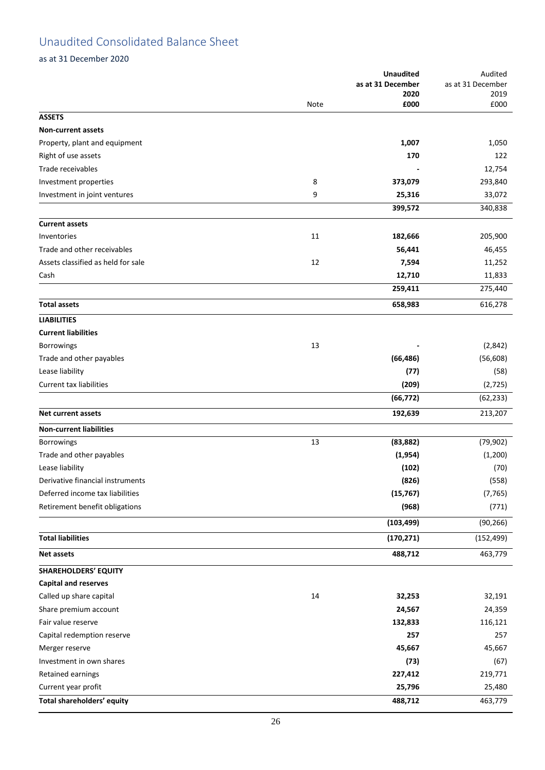## Unaudited Consolidated Balance Sheet

as at 31 December 2020

|                                    |      | <b>Unaudited</b>  | Audited           |
|------------------------------------|------|-------------------|-------------------|
|                                    |      | as at 31 December | as at 31 December |
|                                    | Note | 2020<br>£000      | 2019<br>£000      |
| <b>ASSETS</b>                      |      |                   |                   |
| <b>Non-current assets</b>          |      |                   |                   |
| Property, plant and equipment      |      | 1,007             | 1,050             |
| Right of use assets                |      | 170               | 122               |
| Trade receivables                  |      |                   | 12,754            |
| Investment properties              | 8    | 373,079           | 293,840           |
|                                    | 9    |                   |                   |
| Investment in joint ventures       |      | 25,316            | 33,072            |
|                                    |      | 399,572           | 340,838           |
| <b>Current assets</b>              |      |                   |                   |
| Inventories                        | 11   | 182,666           | 205,900           |
| Trade and other receivables        |      | 56,441            | 46,455            |
| Assets classified as held for sale | 12   | 7,594             | 11,252            |
| Cash                               |      | 12,710            | 11,833            |
|                                    |      | 259,411           | 275,440           |
| <b>Total assets</b>                |      | 658,983           | 616,278           |
| <b>LIABILITIES</b>                 |      |                   |                   |
| <b>Current liabilities</b>         |      |                   |                   |
| Borrowings                         | 13   |                   | (2,842)           |
| Trade and other payables           |      | (66, 486)         | (56, 608)         |
| Lease liability                    |      | (77)              | (58)              |
| <b>Current tax liabilities</b>     |      | (209)             | (2, 725)          |
|                                    |      | (66, 772)         | (62, 233)         |
| <b>Net current assets</b>          |      | 192,639           | 213,207           |
|                                    |      |                   |                   |
| <b>Non-current liabilities</b>     |      |                   |                   |
| Borrowings                         | 13   | (83, 882)         | (79, 902)         |
| Trade and other payables           |      | (1, 954)          | (1, 200)          |
| Lease liability                    |      | (102)             | (70)              |
| Derivative financial instruments   |      | (826)             | (558)             |
| Deferred income tax liabilities    |      | (15, 767)         | (7, 765)          |
| Retirement benefit obligations     |      | (968)             | (771)             |
|                                    |      | (103, 499)        | (90, 266)         |
| <b>Total liabilities</b>           |      | (170, 271)        | (152, 499)        |
| <b>Net assets</b>                  |      | 488,712           | 463,779           |
| <b>SHAREHOLDERS' EQUITY</b>        |      |                   |                   |
| <b>Capital and reserves</b>        |      |                   |                   |
| Called up share capital            | 14   | 32,253            | 32,191            |
| Share premium account              |      | 24,567            | 24,359            |
| Fair value reserve                 |      | 132,833           | 116,121           |
| Capital redemption reserve         |      | 257               | 257               |
| Merger reserve                     |      | 45,667            | 45,667            |
| Investment in own shares           |      | (73)              | (67)              |
| Retained earnings                  |      | 227,412           | 219,771           |
| Current year profit                |      | 25,796            | 25,480            |
| Total shareholders' equity         |      | 488,712           | 463,779           |
|                                    |      |                   |                   |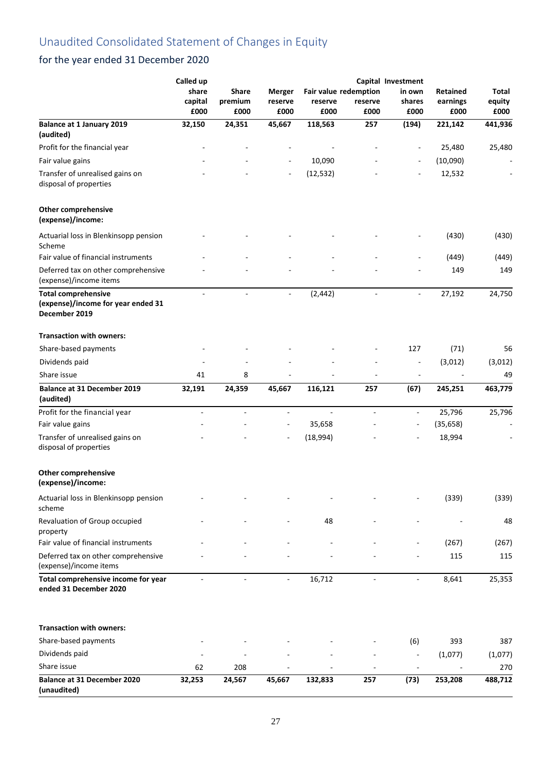|                                                                                   | Called up        |                          |                          |                          |                                  | Capital Investment           |                      |                 |
|-----------------------------------------------------------------------------------|------------------|--------------------------|--------------------------|--------------------------|----------------------------------|------------------------------|----------------------|-----------------|
|                                                                                   | share<br>capital | Share<br>premium         | <b>Merger</b><br>reserve | reserve                  | Fair value redemption<br>reserve | in own<br>shares             | Retained<br>earnings | Total<br>equity |
|                                                                                   | £000             | £000                     | £000                     | £000                     | £000                             | £000                         | £000                 | £000            |
| <b>Balance at 1 January 2019</b><br>(audited)                                     | 32,150           | 24,351                   | 45,667                   | 118,563                  | 257                              | (194)                        | 221,142              | 441,936         |
| Profit for the financial year                                                     |                  |                          |                          |                          |                                  |                              | 25,480               | 25,480          |
| Fair value gains                                                                  |                  |                          |                          | 10,090                   |                                  |                              | (10,090)             |                 |
| Transfer of unrealised gains on<br>disposal of properties                         |                  |                          |                          | (12, 532)                |                                  |                              | 12,532               |                 |
| <b>Other comprehensive</b><br>(expense)/income:                                   |                  |                          |                          |                          |                                  |                              |                      |                 |
| Actuarial loss in Blenkinsopp pension<br>Scheme                                   |                  |                          |                          |                          |                                  |                              | (430)                | (430)           |
| Fair value of financial instruments                                               |                  |                          |                          |                          |                                  |                              | (449)                | (449)           |
| Deferred tax on other comprehensive<br>(expense)/income items                     |                  |                          |                          |                          |                                  |                              | 149                  | 149             |
| <b>Total comprehensive</b><br>(expense)/income for year ended 31<br>December 2019 | $\blacksquare$   | $\blacksquare$           | $\blacksquare$           | (2, 442)                 | $\overline{\phantom{a}}$         | $\overline{\phantom{a}}$     | 27,192               | 24,750          |
| <b>Transaction with owners:</b>                                                   |                  |                          |                          |                          |                                  |                              |                      |                 |
| Share-based payments                                                              |                  |                          |                          |                          |                                  | 127                          | (71)                 | 56              |
| Dividends paid                                                                    |                  |                          |                          |                          |                                  |                              | (3,012)              | (3,012)         |
| Share issue                                                                       | 41               | 8                        |                          |                          |                                  | $\qquad \qquad \blacksquare$ |                      | 49              |
| <b>Balance at 31 December 2019</b><br>(audited)                                   | 32,191           | 24,359                   | 45,667                   | 116,121                  | 257                              | (67)                         | 245,251              | 463,779         |
| Profit for the financial year                                                     | $\overline{a}$   | $\overline{\phantom{a}}$ | $\blacksquare$           | $\overline{\phantom{a}}$ | $\overline{\phantom{a}}$         | $\overline{\phantom{a}}$     | 25,796               | 25,796          |
| Fair value gains                                                                  |                  |                          | $\overline{\phantom{a}}$ | 35,658                   |                                  | $\overline{\phantom{a}}$     | (35, 658)            |                 |
| Transfer of unrealised gains on<br>disposal of properties                         |                  |                          |                          | (18,994)                 |                                  |                              | 18,994               |                 |
| <b>Other comprehensive</b><br>(expense)/income:                                   |                  |                          |                          |                          |                                  |                              |                      |                 |
| Actuarial loss in Blenkinsopp pension<br>scheme                                   |                  |                          |                          |                          |                                  |                              | (339)                | (339)           |
| Revaluation of Group occupied<br>property                                         |                  |                          |                          | 48                       |                                  |                              |                      | 48              |
| Fair value of financial instruments                                               |                  |                          |                          |                          |                                  |                              | (267)                | (267)           |
| Deferred tax on other comprehensive<br>(expense)/income items                     |                  |                          |                          |                          |                                  |                              | 115                  | 115             |
| Total comprehensive income for year<br>ended 31 December 2020                     |                  |                          | $\overline{\phantom{a}}$ | 16,712                   |                                  |                              | 8,641                | 25,353          |
| <b>Transaction with owners:</b>                                                   |                  |                          |                          |                          |                                  |                              |                      |                 |
| Share-based payments                                                              |                  |                          |                          |                          |                                  | (6)                          | 393                  | 387             |
| Dividends paid                                                                    |                  |                          |                          |                          |                                  |                              | (1,077)              | (1,077)         |
| Share issue                                                                       | 62               | 208                      |                          |                          |                                  |                              |                      | 270             |
| Balance at 31 December 2020<br>(unaudited)                                        | 32,253           | 24,567                   | 45,667                   | 132,833                  | 257                              | (73)                         | 253,208              | 488,712         |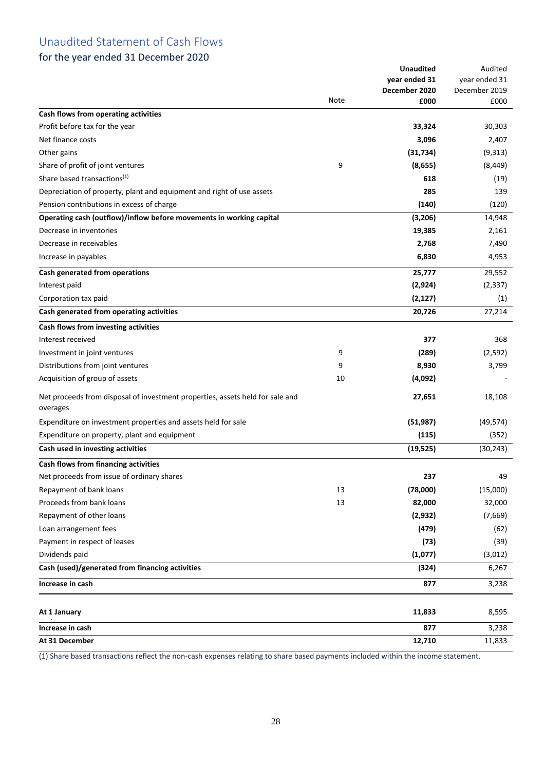## Unaudited Statement of Cash Flows

## for the year ended 31 December 2020

|                                                                                                |      | <b>Unaudited</b> | Audited               |
|------------------------------------------------------------------------------------------------|------|------------------|-----------------------|
|                                                                                                |      | year ended 31    | year ended 31         |
|                                                                                                | Note | December 2020    | December 2019<br>£000 |
| Cash flows from operating activities                                                           |      | £000             |                       |
| Profit before tax for the year                                                                 |      | 33,324           | 30,303                |
| Net finance costs                                                                              |      | 3,096            | 2,407                 |
| Other gains                                                                                    |      | (31, 734)        | (9,313)               |
| Share of profit of joint ventures                                                              | 9    | (8,655)          | (8, 449)              |
| Share based transactions <sup>(1)</sup>                                                        |      | 618              | (19)                  |
| Depreciation of property, plant and equipment and right of use assets                          |      | 285              | 139                   |
| Pension contributions in excess of charge                                                      |      | (140)            | (120)                 |
|                                                                                                |      |                  |                       |
| Operating cash (outflow)/inflow before movements in working capital<br>Decrease in inventories |      | (3,206)          | 14,948                |
|                                                                                                |      | 19,385           | 2,161                 |
| Decrease in receivables                                                                        |      | 2,768            | 7,490                 |
| Increase in payables                                                                           |      | 6,830            | 4,953                 |
| Cash generated from operations                                                                 |      | 25,777           | 29,552                |
| Interest paid                                                                                  |      | (2,924)          | (2, 337)              |
| Corporation tax paid                                                                           |      | (2, 127)         | (1)                   |
| Cash generated from operating activities                                                       |      | 20,726           | 27,214                |
| Cash flows from investing activities                                                           |      |                  |                       |
| Interest received                                                                              |      | 377              | 368                   |
| Investment in joint ventures                                                                   | 9    | (289)            | (2,592)               |
| Distributions from joint ventures                                                              | 9    | 8,930            | 3,799                 |
| Acquisition of group of assets                                                                 | 10   | (4,092)          |                       |
| Net proceeds from disposal of investment properties, assets held for sale and<br>overages      |      | 27,651           | 18,108                |
| Expenditure on investment properties and assets held for sale                                  |      | (51, 987)        | (49, 574)             |
| Expenditure on property, plant and equipment                                                   |      | (115)            | (352)                 |
| Cash used in investing activities                                                              |      | (19, 525)        | (30, 243)             |
| Cash flows from financing activities                                                           |      |                  |                       |
| Net proceeds from issue of ordinary shares                                                     |      | 237              | 49                    |
| Repayment of bank loans                                                                        | 13   | (78,000)         | (15,000)              |
| Proceeds from bank loans                                                                       | 13   | 82,000           | 32,000                |
| Repayment of other loans                                                                       |      | (2, 932)         | (7,669)               |
| Loan arrangement fees                                                                          |      | (479)            | (62)                  |
| Payment in respect of leases                                                                   |      | (73)             | (39)                  |
| Dividends paid                                                                                 |      | (1,077)          | (3,012)               |
| Cash (used)/generated from financing activities                                                |      | (324)            | 6,267                 |
| Increase in cash                                                                               |      | 877              | 3,238                 |
|                                                                                                |      |                  |                       |
| At 1 January                                                                                   |      | 11,833           | 8,595                 |
| Increase in cash                                                                               |      | 877              | 3,238                 |
| At 31 December                                                                                 |      | 12,710           | 11,833                |

(1) Share based transactions reflect the non-cash expenses relating to share based payments included within the income statement.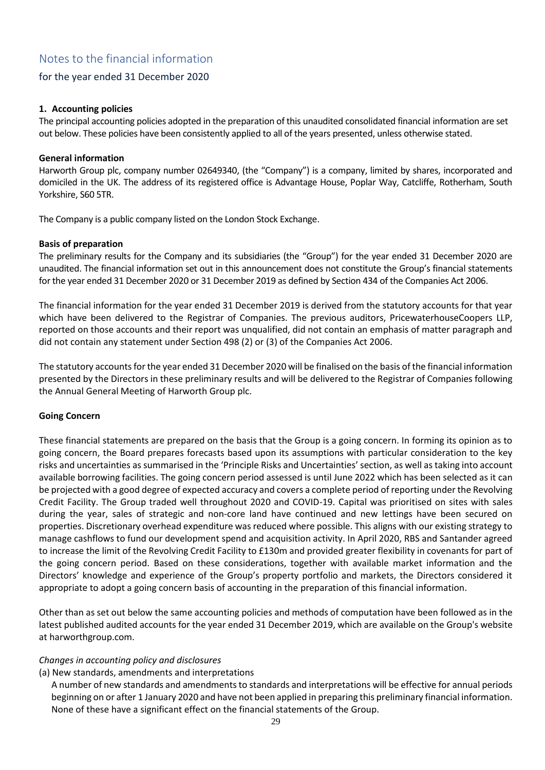## for the year ended 31 December 2020

## **1. Accounting policies**

The principal accounting policies adopted in the preparation of this unaudited consolidated financial information are set out below. These policies have been consistently applied to all of the years presented, unless otherwise stated.

#### **General information**

Harworth Group plc, company number 02649340, (the "Company") is a company, limited by shares, incorporated and domiciled in the UK. The address of its registered office is Advantage House, Poplar Way, Catcliffe, Rotherham, South Yorkshire, S60 5TR.

The Company is a public company listed on the London Stock Exchange.

#### **Basis of preparation**

The preliminary results for the Company and its subsidiaries (the "Group") for the year ended 31 December 2020 are unaudited. The financial information set out in this announcement does not constitute the Group's financial statements for the year ended 31 December 2020 or 31 December 2019 as defined by Section 434 of the Companies Act 2006.

The financial information for the year ended 31 December 2019 is derived from the statutory accounts for that year which have been delivered to the Registrar of Companies. The previous auditors, PricewaterhouseCoopers LLP, reported on those accounts and their report was unqualified, did not contain an emphasis of matter paragraph and did not contain any statement under Section 498 (2) or (3) of the Companies Act 2006.

The statutory accounts for the year ended 31 December 2020 will be finalised on the basis of the financial information presented by the Directors in these preliminary results and will be delivered to the Registrar of Companies following the Annual General Meeting of Harworth Group plc.

### **Going Concern**

These financial statements are prepared on the basis that the Group is a going concern. In forming its opinion as to going concern, the Board prepares forecasts based upon its assumptions with particular consideration to the key risks and uncertainties as summarised in the 'Principle Risks and Uncertainties' section, as well as taking into account available borrowing facilities. The going concern period assessed is until June 2022 which has been selected as it can be projected with a good degree of expected accuracy and covers a complete period of reporting under the Revolving Credit Facility. The Group traded well throughout 2020 and COVID-19. Capital was prioritised on sites with sales during the year, sales of strategic and non-core land have continued and new lettings have been secured on properties. Discretionary overhead expenditure was reduced where possible. This aligns with our existing strategy to manage cashflows to fund our development spend and acquisition activity. In April 2020, RBS and Santander agreed to increase the limit of the Revolving Credit Facility to £130m and provided greater flexibility in covenants for part of the going concern period. Based on these considerations, together with available market information and the Directors' knowledge and experience of the Group's property portfolio and markets, the Directors considered it appropriate to adopt a going concern basis of accounting in the preparation of this financial information.

Other than as set out below the same accounting policies and methods of computation have been followed as in the latest published audited accounts for the year ended 31 December 2019, which are available on the Group's website at harworthgroup.com.

### *Changes in accounting policy and disclosures*

### (a) New standards, amendments and interpretations

A number of new standards and amendments to standards and interpretations will be effective for annual periods beginning on or after 1 January 2020 and have not been applied in preparing this preliminary financial information. None of these have a significant effect on the financial statements of the Group.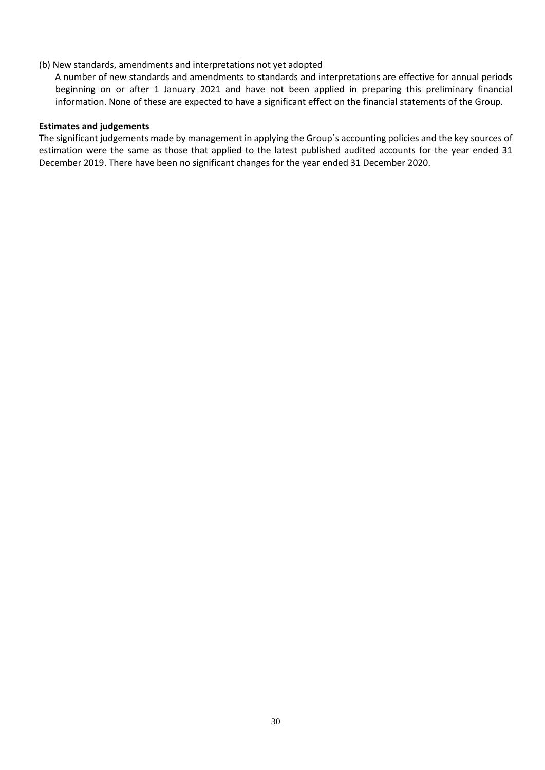## (b) New standards, amendments and interpretations not yet adopted

 A number of new standards and amendments to standards and interpretations are effective for annual periods beginning on or after 1 January 2021 and have not been applied in preparing this preliminary financial information. None of these are expected to have a significant effect on the financial statements of the Group.

### **Estimates and judgements**

The significant judgements made by management in applying the Group`s accounting policies and the key sources of estimation were the same as those that applied to the latest published audited accounts for the year ended 31 December 2019. There have been no significant changes for the year ended 31 December 2020.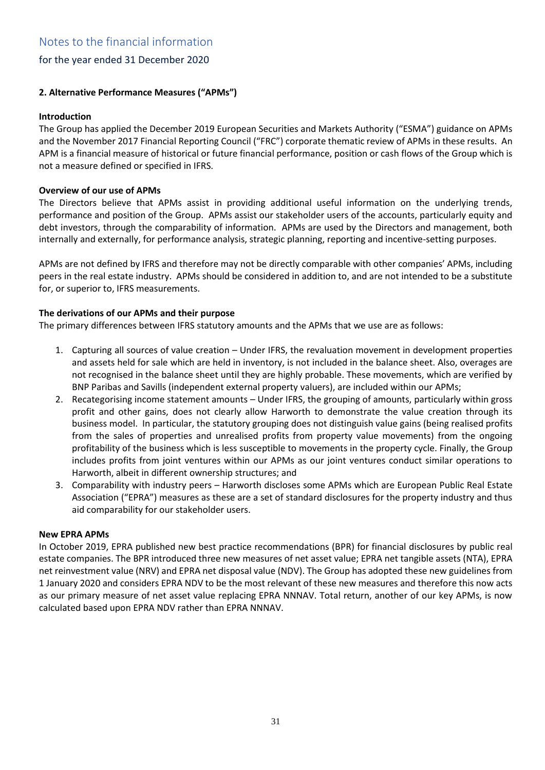## **2. Alternative Performance Measures ("APMs")**

## **Introduction**

The Group has applied the December 2019 European Securities and Markets Authority ("ESMA") guidance on APMs and the November 2017 Financial Reporting Council ("FRC") corporate thematic review of APMs in these results. An APM is a financial measure of historical or future financial performance, position or cash flows of the Group which is not a measure defined or specified in IFRS.

## **Overview of our use of APMs**

The Directors believe that APMs assist in providing additional useful information on the underlying trends, performance and position of the Group. APMs assist our stakeholder users of the accounts, particularly equity and debt investors, through the comparability of information. APMs are used by the Directors and management, both internally and externally, for performance analysis, strategic planning, reporting and incentive-setting purposes.

APMs are not defined by IFRS and therefore may not be directly comparable with other companies' APMs, including peers in the real estate industry. APMs should be considered in addition to, and are not intended to be a substitute for, or superior to, IFRS measurements.

## **The derivations of our APMs and their purpose**

The primary differences between IFRS statutory amounts and the APMs that we use are as follows:

- 1. Capturing all sources of value creation Under IFRS, the revaluation movement in development properties and assets held for sale which are held in inventory, is not included in the balance sheet. Also, overages are not recognised in the balance sheet until they are highly probable. These movements, which are verified by BNP Paribas and Savills (independent external property valuers), are included within our APMs;
- 2. Recategorising income statement amounts Under IFRS, the grouping of amounts, particularly within gross profit and other gains, does not clearly allow Harworth to demonstrate the value creation through its business model. In particular, the statutory grouping does not distinguish value gains (being realised profits from the sales of properties and unrealised profits from property value movements) from the ongoing profitability of the business which is less susceptible to movements in the property cycle. Finally, the Group includes profits from joint ventures within our APMs as our joint ventures conduct similar operations to Harworth, albeit in different ownership structures; and
- 3. Comparability with industry peers Harworth discloses some APMs which are European Public Real Estate Association ("EPRA") measures as these are a set of standard disclosures for the property industry and thus aid comparability for our stakeholder users.

### **New EPRA APMs**

In October 2019, EPRA published new best practice recommendations (BPR) for financial disclosures by public real estate companies. The BPR introduced three new measures of net asset value; EPRA net tangible assets (NTA), EPRA net reinvestment value (NRV) and EPRA net disposal value (NDV). The Group has adopted these new guidelines from 1 January 2020 and considers EPRA NDV to be the most relevant of these new measures and therefore this now acts as our primary measure of net asset value replacing EPRA NNNAV. Total return, another of our key APMs, is now calculated based upon EPRA NDV rather than EPRA NNNAV.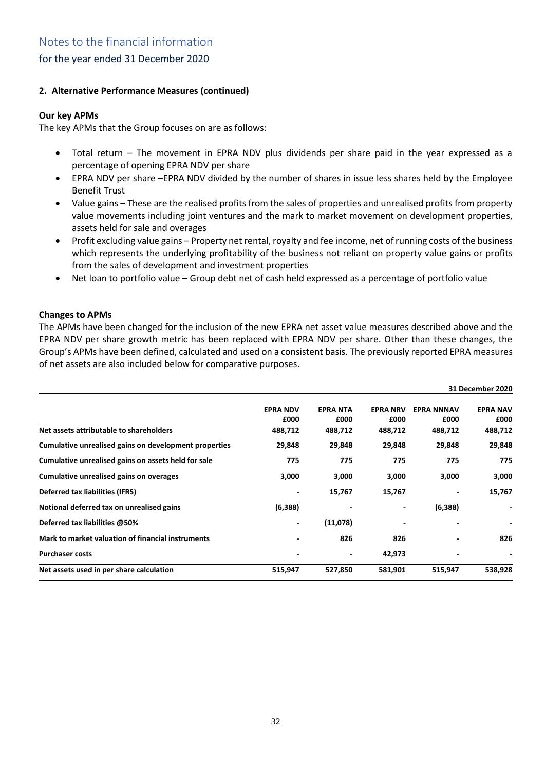## **2. Alternative Performance Measures (continued)**

## **Our key APMs**

The key APMs that the Group focuses on are as follows:

- Total return The movement in EPRA NDV plus dividends per share paid in the year expressed as a percentage of opening EPRA NDV per share
- EPRA NDV per share –EPRA NDV divided by the number of shares in issue less shares held by the Employee Benefit Trust
- Value gains These are the realised profits from the sales of properties and unrealised profits from property value movements including joint ventures and the mark to market movement on development properties, assets held for sale and overages
- Profit excluding value gains Property net rental, royalty and fee income, net of running costs of the business which represents the underlying profitability of the business not reliant on property value gains or profits from the sales of development and investment properties
- Net loan to portfolio value Group debt net of cash held expressed as a percentage of portfolio value

## **Changes to APMs**

The APMs have been changed for the inclusion of the new EPRA net asset value measures described above and the EPRA NDV per share growth metric has been replaced with EPRA NDV per share. Other than these changes, the Group's APMs have been defined, calculated and used on a consistent basis. The previously reported EPRA measures of net assets are also included below for comparative purposes.

|                                                       |                         |                         |                         |                           | 31 December 2020         |
|-------------------------------------------------------|-------------------------|-------------------------|-------------------------|---------------------------|--------------------------|
|                                                       | <b>EPRA NDV</b><br>£000 | <b>EPRA NTA</b><br>£000 | <b>EPRA NRV</b><br>£000 | <b>EPRA NNNAV</b><br>£000 | <b>EPRA NAV</b><br>£000  |
| Net assets attributable to shareholders               | 488,712                 | 488,712                 | 488,712                 | 488,712                   | 488,712                  |
| Cumulative unrealised gains on development properties | 29,848                  | 29,848                  | 29,848                  | 29,848                    | 29,848                   |
| Cumulative unrealised gains on assets held for sale   | 775                     | 775                     | 775                     | 775                       | 775                      |
| Cumulative unrealised gains on overages               | 3,000                   | 3,000                   | 3,000                   | 3,000                     | 3,000                    |
| Deferred tax liabilities (IFRS)                       |                         | 15,767                  | 15,767                  |                           | 15,767                   |
| Notional deferred tax on unrealised gains             | (6,388)                 |                         |                         | (6, 388)                  | $\overline{\phantom{a}}$ |
| Deferred tax liabilities @50%                         |                         | (11,078)                |                         |                           |                          |
| Mark to market valuation of financial instruments     |                         | 826                     | 826                     |                           | 826                      |
| <b>Purchaser costs</b>                                |                         |                         | 42,973                  |                           |                          |
| Net assets used in per share calculation              | 515,947                 | 527,850                 | 581,901                 | 515,947                   | 538,928                  |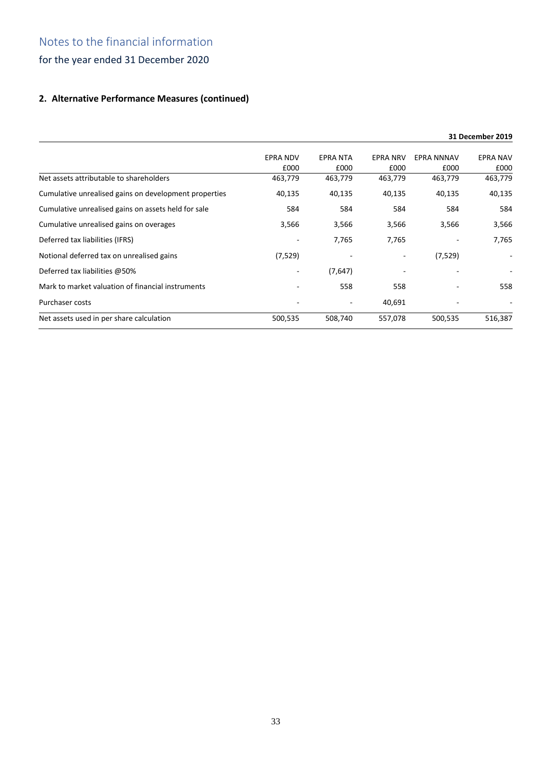## **2. Alternative Performance Measures (continued)**

|                                                       |                 |          |                 |            | 31 December 2019         |
|-------------------------------------------------------|-----------------|----------|-----------------|------------|--------------------------|
|                                                       | <b>EPRA NDV</b> | EPRA NTA | <b>EPRA NRV</b> | EPRA NNNAV | <b>EPRA NAV</b>          |
|                                                       | £000            | £000     | £000            | £000       | £000                     |
| Net assets attributable to shareholders               | 463,779         | 463,779  | 463,779         | 463,779    | 463,779                  |
| Cumulative unrealised gains on development properties | 40,135          | 40,135   | 40,135          | 40,135     | 40,135                   |
| Cumulative unrealised gains on assets held for sale   | 584             | 584      | 584             | 584        | 584                      |
| Cumulative unrealised gains on overages               | 3,566           | 3,566    | 3,566           | 3,566      | 3,566                    |
| Deferred tax liabilities (IFRS)                       |                 | 7,765    | 7,765           |            | 7,765                    |
| Notional deferred tax on unrealised gains             | (7, 529)        |          | ٠               | (7, 529)   | $\overline{\phantom{a}}$ |
| Deferred tax liabilities @50%                         |                 | (7,647)  |                 |            |                          |
| Mark to market valuation of financial instruments     |                 | 558      | 558             |            | 558                      |
| <b>Purchaser costs</b>                                |                 |          | 40,691          |            |                          |
| Net assets used in per share calculation              | 500,535         | 508,740  | 557,078         | 500,535    | 516,387                  |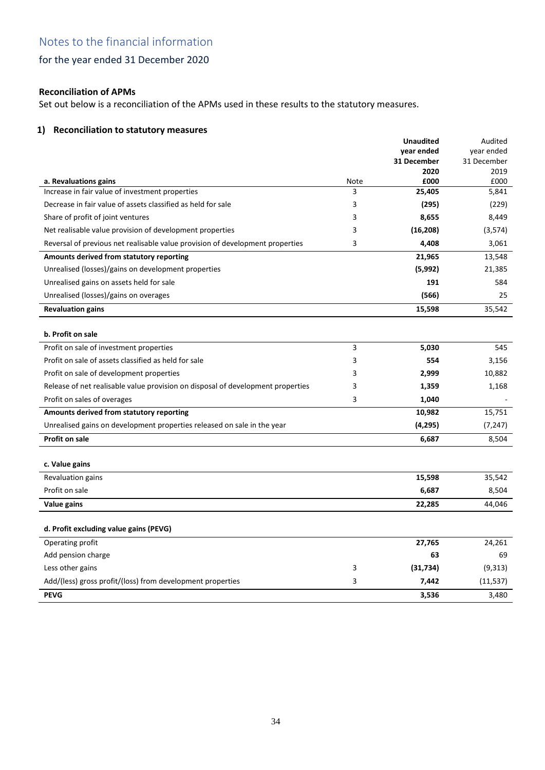## for the year ended 31 December 2020

## **Reconciliation of APMs**

Set out below is a reconciliation of the APMs used in these results to the statutory measures.

## **1) Reconciliation to statutory measures**

|                                                                                 |      | <b>Unaudited</b><br>year ended<br>31 December<br>2020 | Audited<br>year ended<br>31 December<br>2019 |
|---------------------------------------------------------------------------------|------|-------------------------------------------------------|----------------------------------------------|
| a. Revaluations gains                                                           | Note | £000                                                  | £000                                         |
| Increase in fair value of investment properties                                 | 3    | 25,405                                                | 5,841                                        |
| Decrease in fair value of assets classified as held for sale                    | 3    | (295)                                                 | (229)                                        |
| Share of profit of joint ventures                                               | 3    | 8,655                                                 | 8,449                                        |
| Net realisable value provision of development properties                        | 3    | (16, 208)                                             | (3,574)                                      |
| Reversal of previous net realisable value provision of development properties   | 3    | 4,408                                                 | 3,061                                        |
| Amounts derived from statutory reporting                                        |      | 21,965                                                | 13,548                                       |
| Unrealised (losses)/gains on development properties                             |      | (5,992)                                               | 21,385                                       |
| Unrealised gains on assets held for sale                                        |      | 191                                                   | 584                                          |
| Unrealised (losses)/gains on overages                                           |      | (566)                                                 | 25                                           |
| <b>Revaluation gains</b>                                                        |      | 15,598                                                | 35,542                                       |
| b. Profit on sale                                                               |      |                                                       |                                              |
| Profit on sale of investment properties                                         | 3    | 5,030                                                 | 545                                          |
| Profit on sale of assets classified as held for sale                            | 3    | 554                                                   | 3,156                                        |
| Profit on sale of development properties                                        | 3    | 2,999                                                 | 10,882                                       |
| Release of net realisable value provision on disposal of development properties | 3    | 1,359                                                 | 1,168                                        |
| Profit on sales of overages                                                     | 3    | 1,040                                                 |                                              |
| Amounts derived from statutory reporting                                        |      | 10,982                                                | 15,751                                       |
| Unrealised gains on development properties released on sale in the year         |      | (4, 295)                                              | (7, 247)                                     |
| <b>Profit on sale</b>                                                           |      | 6,687                                                 | 8,504                                        |
| c. Value gains                                                                  |      |                                                       |                                              |
| Revaluation gains                                                               |      | 15,598                                                | 35,542                                       |
| Profit on sale                                                                  |      | 6,687                                                 | 8,504                                        |
| Value gains                                                                     |      | 22,285                                                | 44,046                                       |
| d. Profit excluding value gains (PEVG)                                          |      |                                                       |                                              |
| Operating profit                                                                |      | 27,765                                                | 24,261                                       |
| Add pension charge                                                              |      | 63                                                    | 69                                           |
| Less other gains                                                                | 3    | (31, 734)                                             | (9,313)                                      |
| Add/(less) gross profit/(loss) from development properties                      | 3    | 7,442                                                 | (11, 537)                                    |
| <b>PEVG</b>                                                                     |      | 3,536                                                 | 3,480                                        |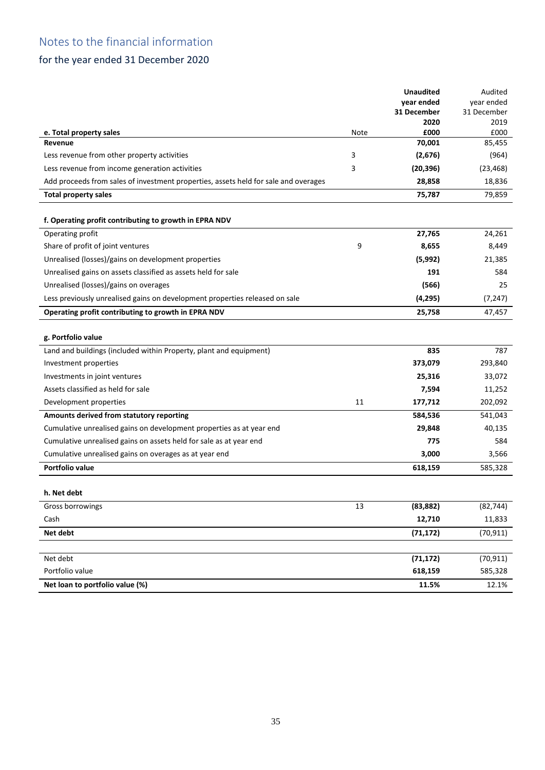## for the year ended 31 December 2020

|                                                                                     |      | <b>Unaudited</b> | Audited      |
|-------------------------------------------------------------------------------------|------|------------------|--------------|
|                                                                                     |      | year ended       | year ended   |
|                                                                                     |      | 31 December      | 31 December  |
| e. Total property sales                                                             | Note | 2020<br>£000     | 2019<br>£000 |
| Revenue                                                                             |      | 70,001           | 85,455       |
| Less revenue from other property activities                                         | 3    | (2,676)          | (964)        |
| Less revenue from income generation activities                                      | 3    | (20, 396)        | (23, 468)    |
| Add proceeds from sales of investment properties, assets held for sale and overages |      | 28,858           | 18,836       |
| <b>Total property sales</b>                                                         |      | 75,787           | 79,859       |
|                                                                                     |      |                  |              |
| f. Operating profit contributing to growth in EPRA NDV                              |      |                  |              |
| Operating profit                                                                    |      | 27,765           | 24,261       |
| Share of profit of joint ventures                                                   | 9    | 8,655            | 8,449        |
| Unrealised (losses)/gains on development properties                                 |      | (5,992)          | 21,385       |
| Unrealised gains on assets classified as assets held for sale                       |      | 191              | 584          |
| Unrealised (losses)/gains on overages                                               |      | (566)            | 25           |
| Less previously unrealised gains on development properties released on sale         |      | (4, 295)         | (7, 247)     |
| Operating profit contributing to growth in EPRA NDV                                 |      | 25,758           | 47,457       |
|                                                                                     |      |                  |              |
| g. Portfolio value                                                                  |      |                  |              |
| Land and buildings (included within Property, plant and equipment)                  |      | 835              | 787          |
| Investment properties                                                               |      | 373,079          | 293,840      |
| Investments in joint ventures                                                       |      | 25,316           | 33,072       |
| Assets classified as held for sale                                                  |      | 7,594            | 11,252       |
| Development properties                                                              | 11   | 177,712          | 202,092      |
| Amounts derived from statutory reporting                                            |      | 584,536          | 541,043      |
| Cumulative unrealised gains on development properties as at year end                |      | 29,848           | 40,135       |
| Cumulative unrealised gains on assets held for sale as at year end                  |      | 775              | 584          |
| Cumulative unrealised gains on overages as at year end                              |      | 3,000            | 3,566        |
| Portfolio value                                                                     |      | 618,159          | 585,328      |
|                                                                                     |      |                  |              |
| h. Net debt                                                                         |      |                  |              |
| Gross borrowings                                                                    | 13   | (83, 882)        | (82, 744)    |
| Cash                                                                                |      | 12,710           | 11,833       |
| Net debt                                                                            |      | (71, 172)        | (70, 911)    |
|                                                                                     |      |                  |              |
| Net debt                                                                            |      | (71, 172)        | (70, 911)    |
| Portfolio value                                                                     |      | 618,159          | 585,328      |
| Net loan to portfolio value (%)                                                     |      | 11.5%            | 12.1%        |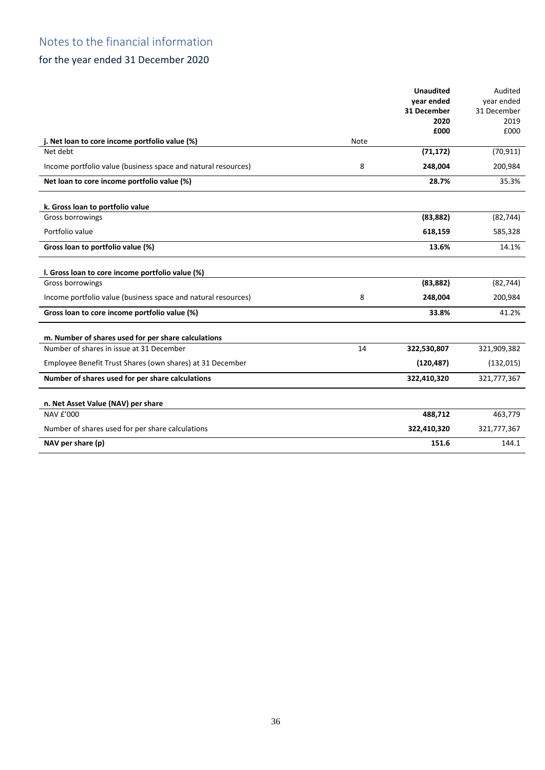## for the year ended 31 December 2020

|                                                               |      | <b>Unaudited</b> | Audited     |
|---------------------------------------------------------------|------|------------------|-------------|
|                                                               |      | vear ended       | year ended  |
|                                                               |      | 31 December      | 31 December |
|                                                               |      | 2020             | 2019        |
|                                                               |      | £000             | £000        |
| j. Net loan to core income portfolio value (%)                | Note |                  |             |
| Net debt                                                      |      | (71, 172)        | (70, 911)   |
| Income portfolio value (business space and natural resources) | 8    | 248,004          | 200,984     |
| Net loan to core income portfolio value (%)                   |      | 28.7%            | 35.3%       |
| k. Gross loan to portfolio value                              |      |                  |             |
| Gross borrowings                                              |      | (83, 882)        | (82, 744)   |
| Portfolio value                                               |      | 618,159          | 585,328     |
| Gross loan to portfolio value (%)                             |      | 13.6%            | 14.1%       |
|                                                               |      |                  |             |
| I. Gross loan to core income portfolio value (%)              |      |                  |             |
| Gross borrowings                                              |      | (83, 882)        | (82, 744)   |
| Income portfolio value (business space and natural resources) | 8    | 248,004          | 200,984     |
| Gross loan to core income portfolio value (%)                 |      | 33.8%            | 41.2%       |
| m. Number of shares used for per share calculations           |      |                  |             |
| Number of shares in issue at 31 December                      | 14   | 322,530,807      | 321,909,382 |
| Employee Benefit Trust Shares (own shares) at 31 December     |      | (120, 487)       | (132, 015)  |
| Number of shares used for per share calculations              |      | 322,410,320      | 321,777,367 |
|                                                               |      |                  |             |
| n. Net Asset Value (NAV) per share<br>NAV £'000               |      | 488,712          | 463,779     |
|                                                               |      |                  |             |
| Number of shares used for per share calculations              |      | 322,410,320      | 321,777,367 |
| NAV per share (p)                                             |      | 151.6            | 144.1       |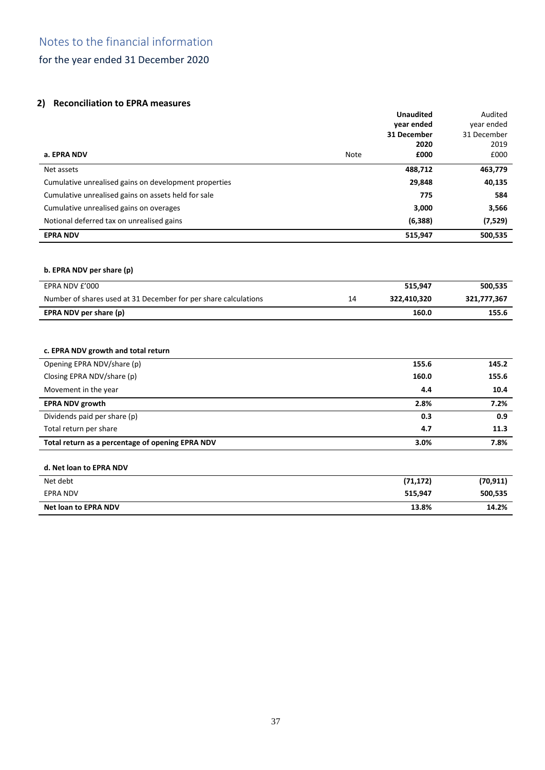## **2) Reconciliation to EPRA measures**

|                                                                 |             | <b>Unaudited</b>    | Audited             |
|-----------------------------------------------------------------|-------------|---------------------|---------------------|
|                                                                 |             | vear ended          | vear ended          |
|                                                                 |             | 31 December<br>2020 | 31 December<br>2019 |
| a. EPRA NDV                                                     | <b>Note</b> | £000                | £000                |
| Net assets                                                      |             | 488,712             | 463,779             |
| Cumulative unrealised gains on development properties           |             | 29,848              | 40,135              |
| Cumulative unrealised gains on assets held for sale             |             | 775                 | 584                 |
| Cumulative unrealised gains on overages                         |             | 3,000               | 3,566               |
| Notional deferred tax on unrealised gains                       |             | (6, 388)            | (7,529)             |
| <b>EPRA NDV</b>                                                 |             | 515,947             | 500,535             |
|                                                                 |             |                     |                     |
| b. EPRA NDV per share (p)                                       |             |                     |                     |
| EPRA NDV £'000                                                  |             | 515,947             | 500,535             |
| Number of shares used at 31 December for per share calculations | 14          | 322,410,320         | 321,777,367         |
| EPRA NDV per share (p)                                          |             | 160.0               | 155.6               |
|                                                                 |             |                     |                     |
| c. EPRA NDV growth and total return                             |             |                     |                     |
| Opening EPRA NDV/share (p)                                      |             | 155.6               | 145.2               |
| Closing EPRA NDV/share (p)                                      |             | 160.0               | 155.6               |
| Movement in the year                                            |             | 4.4                 | 10.4                |
| <b>EPRA NDV growth</b>                                          |             | 2.8%                | 7.2%                |
| Dividends paid per share (p)                                    |             | 0.3                 | 0.9                 |
| Total return per share                                          |             | 4.7                 | 11.3                |
| Total return as a percentage of opening EPRA NDV                |             | 3.0%                | 7.8%                |
| d. Net loan to EPRA NDV                                         |             |                     |                     |
| Net debt                                                        |             | (71, 172)           | (70, 911)           |
| <b>EPRA NDV</b>                                                 |             | 515,947             | 500,535             |

| <b>Net loan</b><br>. NDV<br>EPRA<br><br>w | 13.8% | <b>A</b> 20/<br>14.2. |
|-------------------------------------------|-------|-----------------------|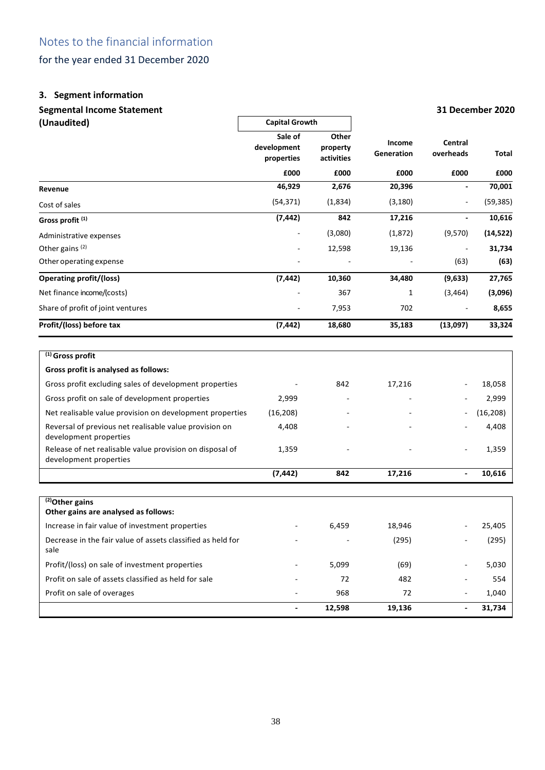## **3. Segment information**

## **Segmental Income Statement 31 December 2020**

|                                                                                    | <b>Capital Growth</b> |                   |            |               |           |  |
|------------------------------------------------------------------------------------|-----------------------|-------------------|------------|---------------|-----------|--|
| (Unaudited)                                                                        | Sale of               |                   |            |               |           |  |
|                                                                                    | development           | Other<br>property | Income     | Central       |           |  |
|                                                                                    | properties            | activities        | Generation | overheads     | Total     |  |
|                                                                                    | £000                  | £000              | £000       | £000          | £000      |  |
| Revenue                                                                            | 46,929                | 2,676             | 20,396     |               | 70,001    |  |
| Cost of sales                                                                      | (54, 371)             | (1,834)           | (3, 180)   |               | (59, 385) |  |
| Gross profit <sup>(1)</sup>                                                        | (7, 442)              | 842               | 17,216     |               | 10,616    |  |
| Administrative expenses                                                            |                       | (3,080)           | (1,872)    | (9,570)       | (14, 522) |  |
| Other gains (2)                                                                    |                       | 12,598            | 19,136     |               | 31,734    |  |
| Other operating expense                                                            |                       |                   |            | (63)          | (63)      |  |
| <b>Operating profit/(loss)</b>                                                     | (7, 442)              | 10,360            | 34,480     | (9,633)       | 27,765    |  |
| Net finance income/(costs)                                                         |                       | 367               | 1          | (3, 464)      | (3,096)   |  |
| Share of profit of joint ventures                                                  |                       | 7,953             | 702        |               | 8,655     |  |
| Profit/(loss) before tax                                                           | (7, 442)              | 18,680            | 35,183     | (13,097)      | 33,324    |  |
|                                                                                    |                       |                   |            |               |           |  |
| $(1)$ Gross profit                                                                 |                       |                   |            |               |           |  |
| Gross profit is analysed as follows:                                               |                       |                   |            |               |           |  |
| Gross profit excluding sales of development properties                             |                       | 842               | 17,216     |               | 18,058    |  |
| Gross profit on sale of development properties                                     | 2,999                 |                   |            |               | 2,999     |  |
| Net realisable value provision on development properties                           | (16, 208)             |                   |            |               | (16, 208) |  |
| Reversal of previous net realisable value provision on<br>development properties   | 4,408                 |                   |            |               | 4,408     |  |
| Release of net realisable value provision on disposal of<br>development properties | 1,359                 |                   |            |               | 1,359     |  |
|                                                                                    | (7, 442)              | 842               | 17,216     | $\frac{1}{2}$ | 10,616    |  |
|                                                                                    |                       |                   |            |               |           |  |
| $(2)$ Other gains<br>Other gains are analysed as follows:                          |                       |                   |            |               |           |  |
| Increase in fair value of investment properties                                    |                       |                   |            |               |           |  |
|                                                                                    |                       | 6,459             | 18,946     |               | 25,405    |  |
| Decrease in the fair value of assets classified as held for<br>sale                |                       |                   | (295)      |               | (295)     |  |
| Profit/(loss) on sale of investment properties                                     |                       | 5,099             | (69)       |               | 5,030     |  |
| Profit on sale of assets classified as held for sale                               |                       | 72                | 482        |               | 554       |  |
| Profit on sale of overages                                                         |                       | 968               | 72         |               | 1,040     |  |

**- 12,598 19,136 - 31,734**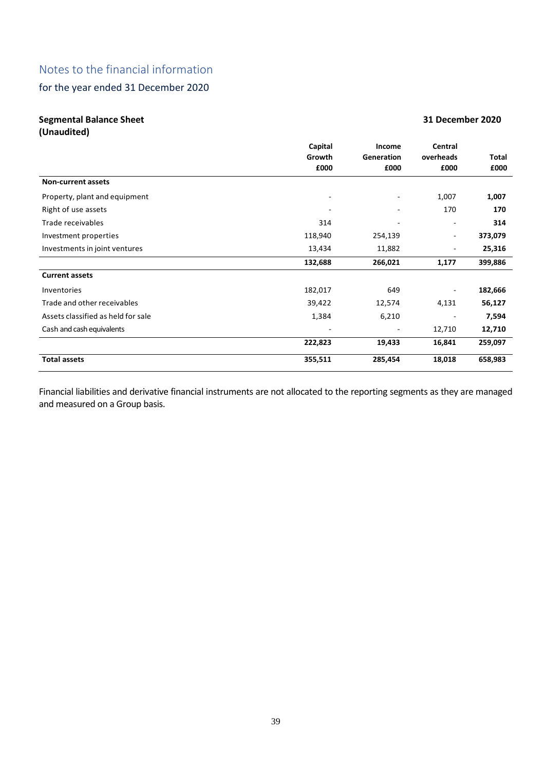## for the year ended 31 December 2020

## **Segmental Balance Sheet 31 December 2020**

**(Unaudited)**

|                                    | Capital | Income                   | Central                  |         |
|------------------------------------|---------|--------------------------|--------------------------|---------|
|                                    | Growth  | Generation               | overheads                | Total   |
|                                    | £000    | £000                     | £000                     | £000    |
| <b>Non-current assets</b>          |         |                          |                          |         |
| Property, plant and equipment      | ۰       | $\overline{\phantom{a}}$ | 1,007                    | 1,007   |
| Right of use assets                |         |                          | 170                      | 170     |
| Trade receivables                  | 314     | ٠                        | $\overline{\phantom{m}}$ | 314     |
| Investment properties              | 118,940 | 254,139                  | $\overline{\phantom{a}}$ | 373,079 |
| Investments in joint ventures      | 13,434  | 11,882                   | ۰                        | 25,316  |
|                                    | 132,688 | 266,021                  | 1,177                    | 399,886 |
| <b>Current assets</b>              |         |                          |                          |         |
| Inventories                        | 182,017 | 649                      | $\overline{\phantom{a}}$ | 182,666 |
| Trade and other receivables        | 39,422  | 12,574                   | 4,131                    | 56,127  |
| Assets classified as held for sale | 1,384   | 6,210                    | $\overline{\phantom{a}}$ | 7,594   |
| Cash and cash equivalents          |         |                          | 12,710                   | 12,710  |
|                                    | 222,823 | 19,433                   | 16,841                   | 259,097 |
| <b>Total assets</b>                | 355,511 | 285,454                  | 18,018                   | 658,983 |

Financial liabilities and derivative financial instruments are not allocated to the reporting segments as they are managed and measured on a Group basis.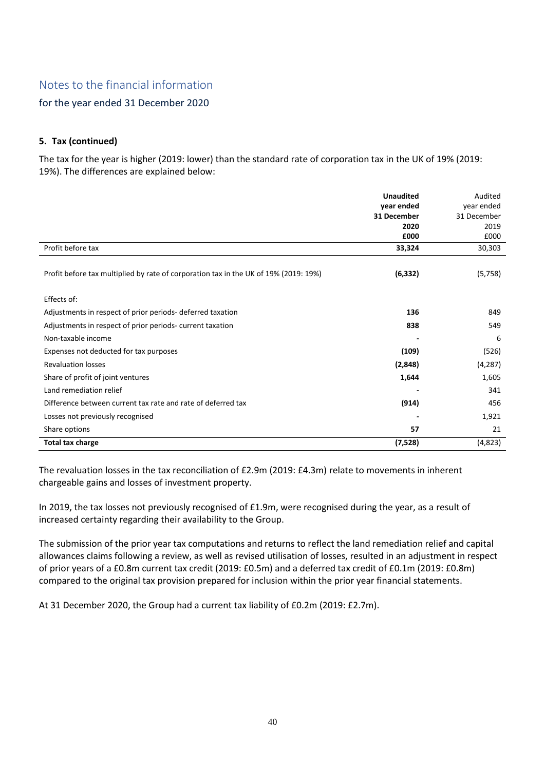## for the year ended 31 December 2020

## **5. Tax (continued)**

The tax for the year is higher (2019: lower) than the standard rate of corporation tax in the UK of 19% (2019: 19%). The differences are explained below:

|                                                                                      | <b>Unaudited</b> | Audited     |
|--------------------------------------------------------------------------------------|------------------|-------------|
|                                                                                      | year ended       | year ended  |
|                                                                                      | 31 December      | 31 December |
|                                                                                      | 2020             | 2019        |
|                                                                                      | £000             | £000        |
| Profit before tax                                                                    | 33,324           | 30,303      |
|                                                                                      |                  |             |
| Profit before tax multiplied by rate of corporation tax in the UK of 19% (2019: 19%) | (6, 332)         | (5, 758)    |
| Effects of:                                                                          |                  |             |
| Adjustments in respect of prior periods-deferred taxation                            | 136              | 849         |
|                                                                                      |                  |             |
| Adjustments in respect of prior periods- current taxation                            | 838              | 549         |
| Non-taxable income                                                                   |                  | 6           |
| Expenses not deducted for tax purposes                                               | (109)            | (526)       |
| <b>Revaluation losses</b>                                                            | (2,848)          | (4, 287)    |
| Share of profit of joint ventures                                                    | 1,644            | 1,605       |
| Land remediation relief                                                              |                  | 341         |
| Difference between current tax rate and rate of deferred tax                         | (914)            | 456         |
| Losses not previously recognised                                                     |                  | 1,921       |
| Share options                                                                        | 57               | 21          |
| <b>Total tax charge</b>                                                              | (7,528)          | (4,823)     |

The revaluation losses in the tax reconciliation of £2.9m (2019: £4.3m) relate to movements in inherent chargeable gains and losses of investment property.

In 2019, the tax losses not previously recognised of £1.9m, were recognised during the year, as a result of increased certainty regarding their availability to the Group.

The submission of the prior year tax computations and returns to reflect the land remediation relief and capital allowances claims following a review, as well as revised utilisation of losses, resulted in an adjustment in respect of prior years of a £0.8m current tax credit (2019: £0.5m) and a deferred tax credit of £0.1m (2019: £0.8m) compared to the original tax provision prepared for inclusion within the prior year financial statements.

At 31 December 2020, the Group had a current tax liability of £0.2m (2019: £2.7m).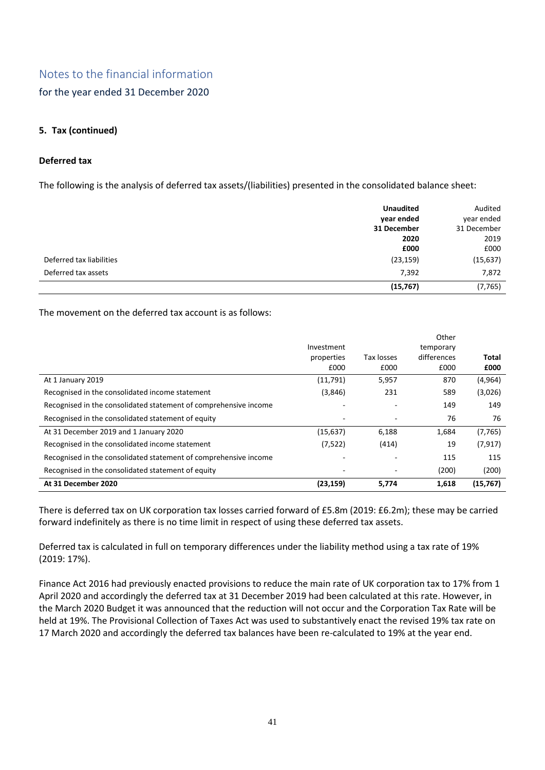for the year ended 31 December 2020

## **5. Tax (continued)**

## **Deferred tax**

The following is the analysis of deferred tax assets/(liabilities) presented in the consolidated balance sheet:

|                          | <b>Unaudited</b><br>year ended | Audited<br>year ended |
|--------------------------|--------------------------------|-----------------------|
|                          | 31 December                    | 31 December           |
|                          | 2020                           | 2019                  |
|                          | £000                           | £000                  |
| Deferred tax liabilities | (23, 159)                      | (15, 637)             |
| Deferred tax assets      | 7,392                          | 7,872                 |
|                          | (15, 767)                      | (7, 765)              |

The movement on the deferred tax account is as follows:

|                                                                  |            |            | Other       |           |
|------------------------------------------------------------------|------------|------------|-------------|-----------|
|                                                                  | Investment |            | temporary   |           |
|                                                                  | properties | Tax losses | differences | Total     |
|                                                                  | £000       | £000       | £000        | £000      |
| At 1 January 2019                                                | (11,791)   | 5,957      | 870         | (4, 964)  |
| Recognised in the consolidated income statement                  | (3,846)    | 231        | 589         | (3,026)   |
| Recognised in the consolidated statement of comprehensive income |            |            | 149         | 149       |
| Recognised in the consolidated statement of equity               |            |            | 76          | 76        |
| At 31 December 2019 and 1 January 2020                           | (15, 637)  | 6,188      | 1,684       | (7, 765)  |
| Recognised in the consolidated income statement                  | (7, 522)   | (414)      | 19          | (7, 917)  |
| Recognised in the consolidated statement of comprehensive income |            |            | 115         | 115       |
| Recognised in the consolidated statement of equity               |            |            | (200)       | (200)     |
| At 31 December 2020                                              | (23, 159)  | 5,774      | 1,618       | (15, 767) |

There is deferred tax on UK corporation tax losses carried forward of £5.8m (2019: £6.2m); these may be carried forward indefinitely as there is no time limit in respect of using these deferred tax assets.

Deferred tax is calculated in full on temporary differences under the liability method using a tax rate of 19% (2019: 17%).

Finance Act 2016 had previously enacted provisions to reduce the main rate of UK corporation tax to 17% from 1 April 2020 and accordingly the deferred tax at 31 December 2019 had been calculated at this rate. However, in the March 2020 Budget it was announced that the reduction will not occur and the Corporation Tax Rate will be held at 19%. The Provisional Collection of Taxes Act was used to substantively enact the revised 19% tax rate on 17 March 2020 and accordingly the deferred tax balances have been re-calculated to 19% at the year end.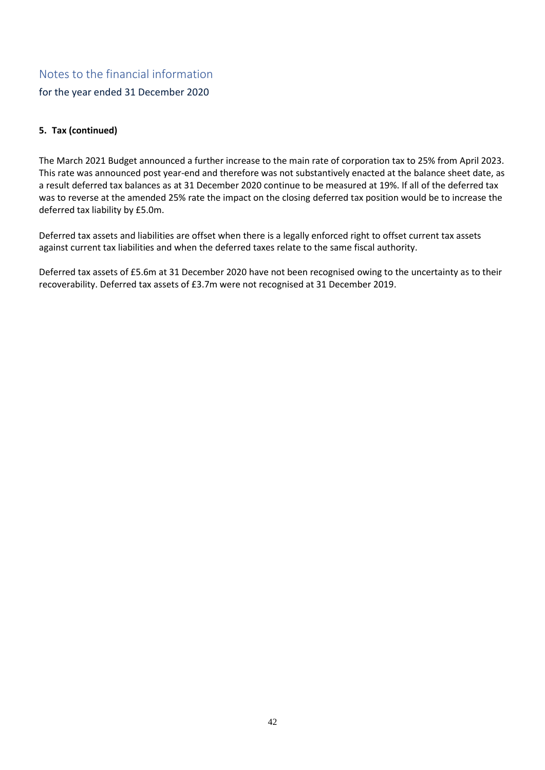for the year ended 31 December 2020

## **5. Tax (continued)**

The March 2021 Budget announced a further increase to the main rate of corporation tax to 25% from April 2023. This rate was announced post year-end and therefore was not substantively enacted at the balance sheet date, as a result deferred tax balances as at 31 December 2020 continue to be measured at 19%. If all of the deferred tax was to reverse at the amended 25% rate the impact on the closing deferred tax position would be to increase the deferred tax liability by £5.0m.

Deferred tax assets and liabilities are offset when there is a legally enforced right to offset current tax assets against current tax liabilities and when the deferred taxes relate to the same fiscal authority.

Deferred tax assets of £5.6m at 31 December 2020 have not been recognised owing to the uncertainty as to their recoverability. Deferred tax assets of £3.7m were not recognised at 31 December 2019.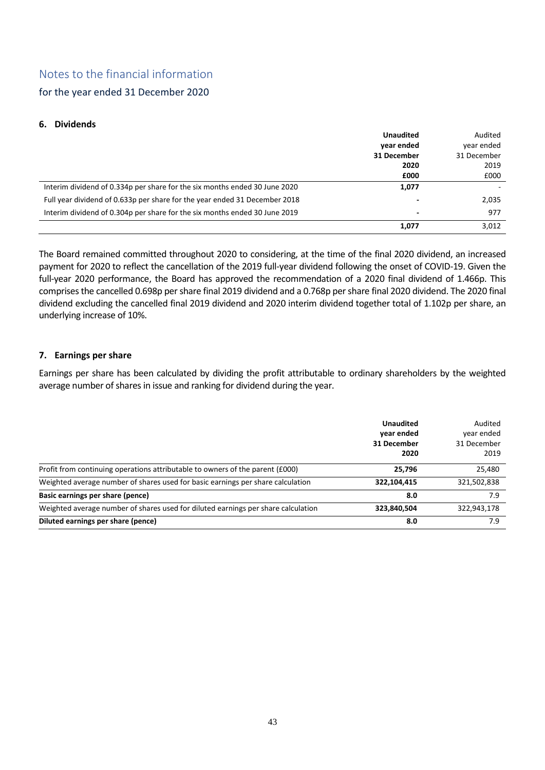for the year ended 31 December 2020

## **6. Dividends**

|                                                                            | <b>Unaudited</b>         | Audited     |
|----------------------------------------------------------------------------|--------------------------|-------------|
|                                                                            | year ended               | year ended  |
|                                                                            | 31 December              | 31 December |
|                                                                            | 2020                     | 2019        |
|                                                                            | £000                     | £000        |
| Interim dividend of 0.334p per share for the six months ended 30 June 2020 | 1,077                    |             |
| Full year dividend of 0.633p per share for the year ended 31 December 2018 | $\overline{\phantom{a}}$ | 2,035       |
| Interim dividend of 0.304p per share for the six months ended 30 June 2019 | $\overline{\phantom{a}}$ | 977         |
|                                                                            | 1.077                    | 3,012       |

The Board remained committed throughout 2020 to considering, at the time of the final 2020 dividend, an increased payment for 2020 to reflect the cancellation of the 2019 full-year dividend following the onset of COVID-19. Given the full-year 2020 performance, the Board has approved the recommendation of a 2020 final dividend of 1.466p. This comprises the cancelled 0.698p per share final 2019 dividend and a 0.768p per share final 2020 dividend. The 2020 final dividend excluding the cancelled final 2019 dividend and 2020 interim dividend together total of 1.102p per share, an underlying increase of 10%.

## **7. Earnings per share**

Earnings per share has been calculated by dividing the profit attributable to ordinary shareholders by the weighted average number of shares in issue and ranking for dividend during the year.

|                                                                                   | <b>Unaudited</b><br>year ended<br>31 December<br>2020 | Audited<br>year ended<br>31 December<br>2019 |
|-----------------------------------------------------------------------------------|-------------------------------------------------------|----------------------------------------------|
| Profit from continuing operations attributable to owners of the parent (£000)     | 25.796                                                | 25,480                                       |
| Weighted average number of shares used for basic earnings per share calculation   | 322,104,415                                           | 321,502,838                                  |
| Basic earnings per share (pence)                                                  | 8.0                                                   | 7.9                                          |
| Weighted average number of shares used for diluted earnings per share calculation | 323,840,504                                           | 322,943,178                                  |
| Diluted earnings per share (pence)                                                | 8.0                                                   | 7.9                                          |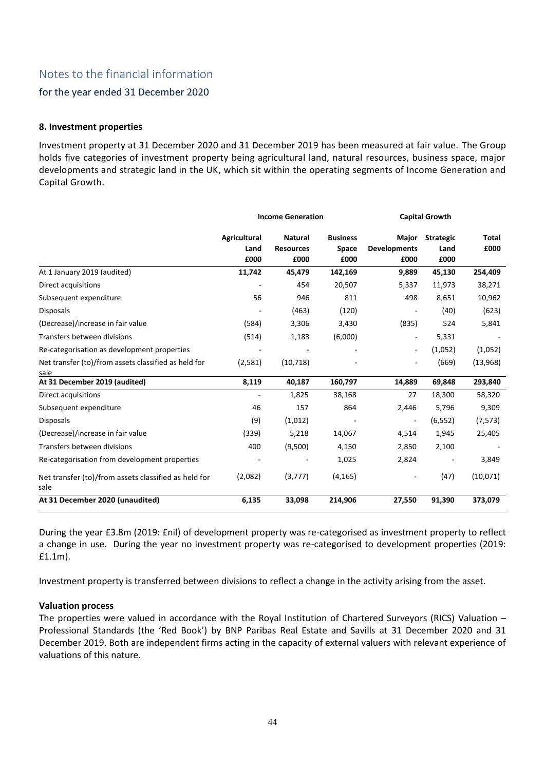## for the year ended 31 December 2020

## **8. Investment properties**

Investment property at 31 December 2020 and 31 December 2019 has been measured at fair value. The Group holds five categories of investment property being agricultural land, natural resources, business space, major developments and strategic land in the UK, which sit within the operating segments of Income Generation and Capital Growth.

|                                                              | <b>Income Generation</b> |                  | <b>Capital Growth</b> |                          |                  |          |
|--------------------------------------------------------------|--------------------------|------------------|-----------------------|--------------------------|------------------|----------|
|                                                              | Agricultural             | <b>Natural</b>   | <b>Business</b>       | Major                    | <b>Strategic</b> | Total    |
|                                                              | Land                     | <b>Resources</b> | Space                 | <b>Developments</b>      | Land             | £000     |
|                                                              | £000                     | £000             | £000                  | £000                     | £000             |          |
| At 1 January 2019 (audited)                                  | 11,742                   | 45,479           | 142,169               | 9,889                    | 45,130           | 254,409  |
| Direct acquisitions                                          |                          | 454              | 20,507                | 5,337                    | 11,973           | 38,271   |
| Subsequent expenditure                                       | 56                       | 946              | 811                   | 498                      | 8,651            | 10,962   |
| <b>Disposals</b>                                             |                          | (463)            | (120)                 |                          | (40)             | (623)    |
| (Decrease)/increase in fair value                            | (584)                    | 3,306            | 3,430                 | (835)                    | 524              | 5,841    |
| Transfers between divisions                                  | (514)                    | 1,183            | (6,000)               | $\overline{\phantom{a}}$ | 5,331            |          |
| Re-categorisation as development properties                  |                          |                  |                       | $\overline{\phantom{a}}$ | (1,052)          | (1,052)  |
| Net transfer (to)/from assets classified as held for         | (2,581)                  | (10, 718)        |                       |                          | (669)            | (13,968) |
| sale                                                         |                          |                  |                       |                          |                  |          |
| At 31 December 2019 (audited)                                | 8,119                    | 40,187           | 160,797               | 14,889                   | 69,848           | 293,840  |
| Direct acquisitions                                          |                          | 1,825            | 38,168                | 27                       | 18,300           | 58,320   |
| Subsequent expenditure                                       | 46                       | 157              | 864                   | 2,446                    | 5,796            | 9,309    |
| <b>Disposals</b>                                             | (9)                      | (1,012)          |                       | $\overline{\phantom{a}}$ | (6, 552)         | (7, 573) |
| (Decrease)/increase in fair value                            | (339)                    | 5,218            | 14,067                | 4,514                    | 1,945            | 25,405   |
| Transfers between divisions                                  | 400                      | (9,500)          | 4,150                 | 2,850                    | 2,100            |          |
| Re-categorisation from development properties                |                          |                  | 1,025                 | 2,824                    |                  | 3,849    |
| Net transfer (to)/from assets classified as held for<br>sale | (2,082)                  | (3,777)          | (4, 165)              | $\overline{\phantom{m}}$ | (47)             | (10,071) |
| At 31 December 2020 (unaudited)                              | 6,135                    | 33,098           | 214,906               | 27,550                   | 91,390           | 373,079  |

During the year £3.8m (2019: £nil) of development property was re-categorised as investment property to reflect a change in use. During the year no investment property was re-categorised to development properties (2019: £1.1m).

Investment property is transferred between divisions to reflect a change in the activity arising from the asset.

### **Valuation process**

The properties were valued in accordance with the Royal Institution of Chartered Surveyors (RICS) Valuation – Professional Standards (the 'Red Book') by BNP Paribas Real Estate and Savills at 31 December 2020 and 31 December 2019. Both are independent firms acting in the capacity of external valuers with relevant experience of valuations of this nature.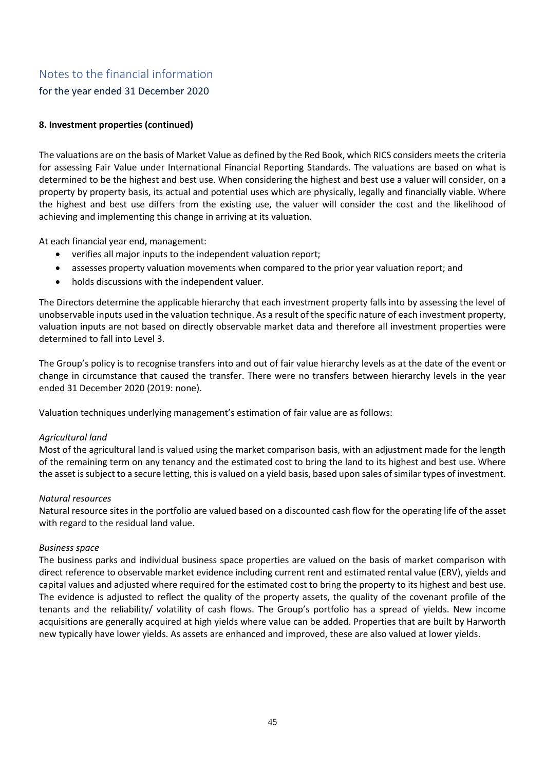## for the year ended 31 December 2020

## **8. Investment properties (continued)**

The valuations are on the basis of Market Value as defined by the Red Book, which RICS considers meets the criteria for assessing Fair Value under International Financial Reporting Standards. The valuations are based on what is determined to be the highest and best use. When considering the highest and best use a valuer will consider, on a property by property basis, its actual and potential uses which are physically, legally and financially viable. Where the highest and best use differs from the existing use, the valuer will consider the cost and the likelihood of achieving and implementing this change in arriving at its valuation.

At each financial year end, management:

- verifies all major inputs to the independent valuation report;
- assesses property valuation movements when compared to the prior year valuation report; and
- holds discussions with the independent valuer.

The Directors determine the applicable hierarchy that each investment property falls into by assessing the level of unobservable inputs used in the valuation technique. As a result of the specific nature of each investment property, valuation inputs are not based on directly observable market data and therefore all investment properties were determined to fall into Level 3.

The Group's policy is to recognise transfers into and out of fair value hierarchy levels as at the date of the event or change in circumstance that caused the transfer. There were no transfers between hierarchy levels in the year ended 31 December 2020 (2019: none).

Valuation techniques underlying management's estimation of fair value are as follows:

### *Agricultural land*

Most of the agricultural land is valued using the market comparison basis, with an adjustment made for the length of the remaining term on any tenancy and the estimated cost to bring the land to its highest and best use. Where the asset is subject to a secure letting, this is valued on a yield basis, based upon sales of similar types of investment.

### *Natural resources*

Natural resource sites in the portfolio are valued based on a discounted cash flow for the operating life of the asset with regard to the residual land value.

### *Business space*

The business parks and individual business space properties are valued on the basis of market comparison with direct reference to observable market evidence including current rent and estimated rental value (ERV), yields and capital values and adjusted where required for the estimated cost to bring the property to its highest and best use. The evidence is adjusted to reflect the quality of the property assets, the quality of the covenant profile of the tenants and the reliability/ volatility of cash flows. The Group's portfolio has a spread of yields. New income acquisitions are generally acquired at high yields where value can be added. Properties that are built by Harworth new typically have lower yields. As assets are enhanced and improved, these are also valued at lower yields.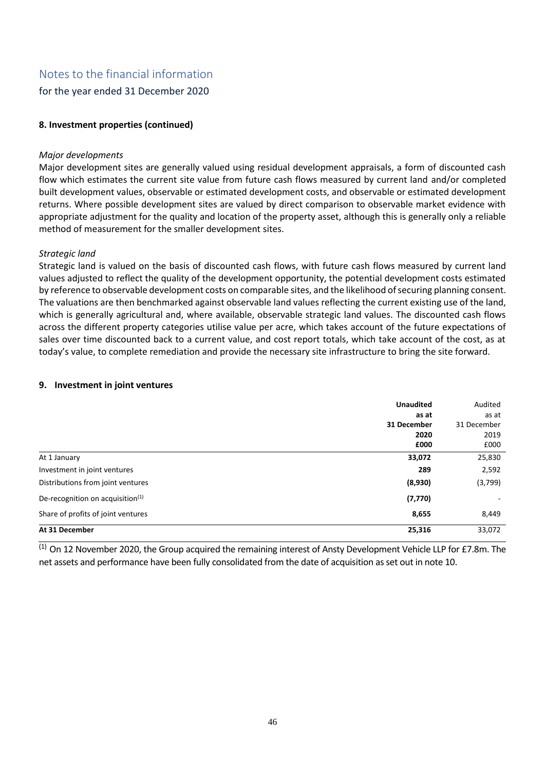for the year ended 31 December 2020

## **8. Investment properties (continued)**

## *Major developments*

Major development sites are generally valued using residual development appraisals, a form of discounted cash flow which estimates the current site value from future cash flows measured by current land and/or completed built development values, observable or estimated development costs, and observable or estimated development returns. Where possible development sites are valued by direct comparison to observable market evidence with appropriate adjustment for the quality and location of the property asset, although this is generally only a reliable method of measurement for the smaller development sites.

## *Strategic land*

Strategic land is valued on the basis of discounted cash flows, with future cash flows measured by current land values adjusted to reflect the quality of the development opportunity, the potential development costs estimated by reference to observable development costs on comparable sites, and the likelihood of securing planning consent. The valuations are then benchmarked against observable land values reflecting the current existing use of the land, which is generally agricultural and, where available, observable strategic land values. The discounted cash flows across the different property categories utilise value per acre, which takes account of the future expectations of sales over time discounted back to a current value, and cost report totals, which take account of the cost, as at today's value, to complete remediation and provide the necessary site infrastructure to bring the site forward.

### **9. Investment in joint ventures**

|                                     | <b>Unaudited</b> | Audited     |
|-------------------------------------|------------------|-------------|
|                                     | as at            | as at       |
|                                     | 31 December      | 31 December |
|                                     | 2020             | 2019        |
|                                     | £000             | £000        |
| At 1 January                        | 33,072           | 25,830      |
| Investment in joint ventures        | 289              | 2,592       |
| Distributions from joint ventures   | (8,930)          | (3,799)     |
| De-recognition on acquisition $(1)$ | (7, 770)         |             |
| Share of profits of joint ventures  | 8,655            | 8,449       |
| At 31 December                      | 25,316           | 33,072      |

(1) On 12 November 2020, the Group acquired the remaining interest of Ansty Development Vehicle LLP for £7.8m. The net assets and performance have been fully consolidated from the date of acquisition as set out in note 10.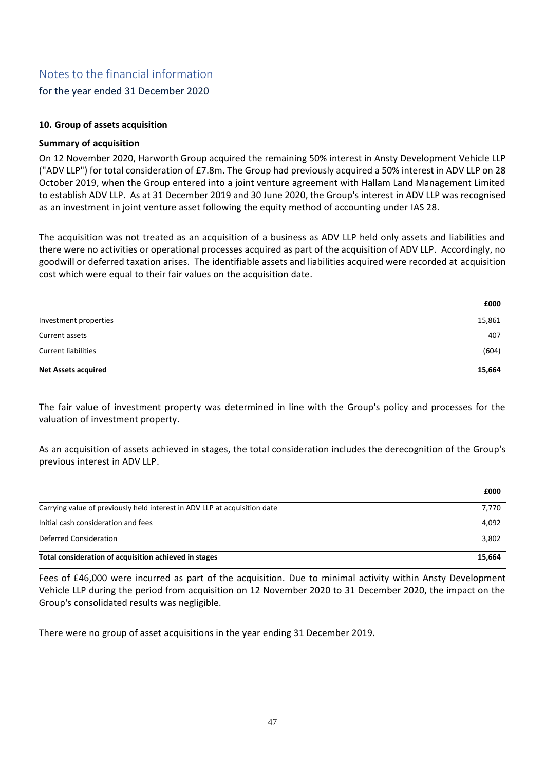## for the year ended 31 December 2020

## **10. Group of assets acquisition**

## **Summary of acquisition**

On 12 November 2020, Harworth Group acquired the remaining 50% interest in Ansty Development Vehicle LLP ("ADV LLP") for total consideration of £7.8m. The Group had previously acquired a 50% interest in ADV LLP on 28 October 2019, when the Group entered into a joint venture agreement with Hallam Land Management Limited to establish ADV LLP. As at 31 December 2019 and 30 June 2020, the Group's interest in ADV LLP was recognised as an investment in joint venture asset following the equity method of accounting under IAS 28.

The acquisition was not treated as an acquisition of a business as ADV LLP held only assets and liabilities and there were no activities or operational processes acquired as part of the acquisition of ADV LLP. Accordingly, no goodwill or deferred taxation arises. The identifiable assets and liabilities acquired were recorded at acquisition cost which were equal to their fair values on the acquisition date.

|                            | £000   |
|----------------------------|--------|
| Investment properties      | 15,861 |
| Current assets             | 407    |
| <b>Current liabilities</b> | (604)  |
| <b>Net Assets acquired</b> | 15,664 |

The fair value of investment property was determined in line with the Group's policy and processes for the valuation of investment property.

As an acquisition of assets achieved in stages, the total consideration includes the derecognition of the Group's previous interest in ADV LLP.

|                                                                           | £000   |
|---------------------------------------------------------------------------|--------|
| Carrying value of previously held interest in ADV LLP at acquisition date | 7,770  |
| Initial cash consideration and fees                                       | 4,092  |
| Deferred Consideration                                                    | 3,802  |
| Total consideration of acquisition achieved in stages                     | 15,664 |

Fees of £46,000 were incurred as part of the acquisition. Due to minimal activity within Ansty Development Vehicle LLP during the period from acquisition on 12 November 2020 to 31 December 2020, the impact on the Group's consolidated results was negligible.

There were no group of asset acquisitions in the year ending 31 December 2019.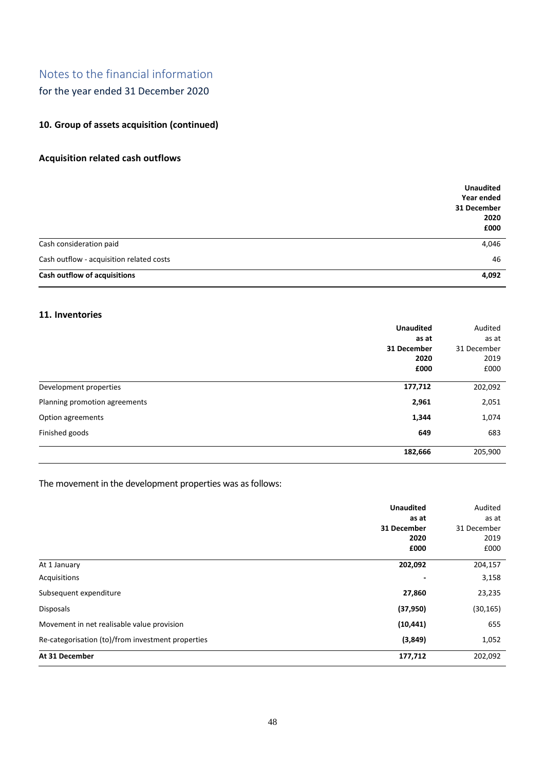for the year ended 31 December 2020

## **10. Group of assets acquisition (continued)**

## **Acquisition related cash outflows**

|                                          | <b>Unaudited</b><br>Year ended<br>31 December<br>2020<br>£000 |
|------------------------------------------|---------------------------------------------------------------|
| Cash consideration paid                  | 4,046                                                         |
| Cash outflow - acquisition related costs | 46                                                            |
| Cash outflow of acquisitions             | 4,092                                                         |

## **11. Inventories**

|                               | <b>Unaudited</b> | Audited     |
|-------------------------------|------------------|-------------|
|                               | as at            | as at       |
|                               | 31 December      | 31 December |
|                               | 2020             | 2019        |
|                               | £000             | £000        |
|                               |                  |             |
| Development properties        | 177,712          | 202,092     |
| Planning promotion agreements | 2,961            | 2,051       |
| Option agreements             | 1,344            | 1,074       |
| Finished goods                | 649              | 683         |
|                               | 182,666          | 205,900     |

## The movement in the development properties was as follows:

|                                                   | <b>Unaudited</b><br>as at<br>31 December<br>2020<br>£000 | Audited<br>as at<br>31 December<br>2019<br>£000 |
|---------------------------------------------------|----------------------------------------------------------|-------------------------------------------------|
| At 1 January                                      | 202,092                                                  | 204,157                                         |
| Acquisitions                                      |                                                          | 3,158                                           |
| Subsequent expenditure                            | 27,860                                                   | 23,235                                          |
| <b>Disposals</b>                                  | (37, 950)                                                | (30, 165)                                       |
| Movement in net realisable value provision        | (10, 441)                                                | 655                                             |
| Re-categorisation (to)/from investment properties | (3,849)                                                  | 1,052                                           |
| At 31 December                                    | 177,712                                                  | 202,092                                         |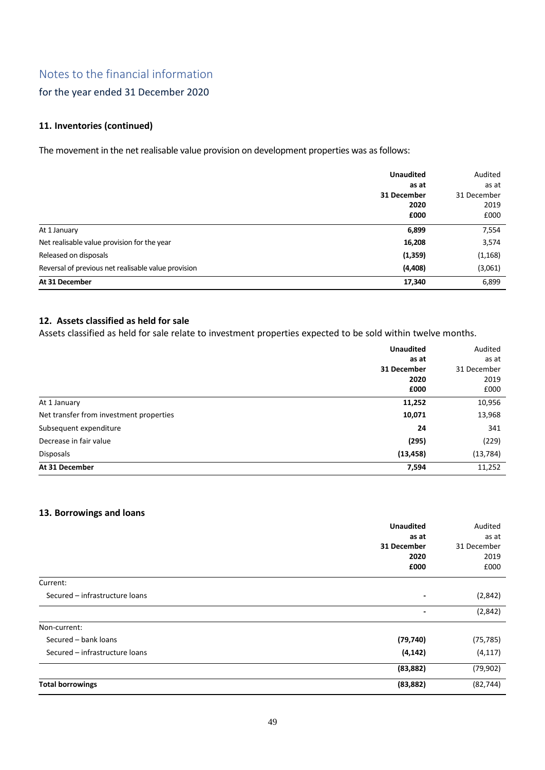## for the year ended 31 December 2020

## **11. Inventories (continued)**

The movement in the net realisable value provision on development properties was as follows:

|                                                     | <b>Unaudited</b> | Audited     |
|-----------------------------------------------------|------------------|-------------|
|                                                     | as at            | as at       |
|                                                     | 31 December      | 31 December |
|                                                     | 2020             | 2019        |
|                                                     | £000             | £000        |
| At 1 January                                        | 6,899            | 7,554       |
| Net realisable value provision for the year         | 16,208           | 3,574       |
| Released on disposals                               | (1,359)          | (1, 168)    |
| Reversal of previous net realisable value provision | (4, 408)         | (3,061)     |
| At 31 December                                      | 17,340           | 6,899       |

## **12. Assets classified as held for sale**

Assets classified as held for sale relate to investment properties expected to be sold within twelve months.

|                                         | <b>Unaudited</b> | Audited     |
|-----------------------------------------|------------------|-------------|
|                                         | as at            | as at       |
|                                         | 31 December      | 31 December |
|                                         | 2020             | 2019        |
|                                         | £000             | £000        |
| At 1 January                            | 11,252           | 10,956      |
| Net transfer from investment properties | 10,071           | 13,968      |
| Subsequent expenditure                  | 24               | 341         |
| Decrease in fair value                  | (295)            | (229)       |
| <b>Disposals</b>                        | (13, 458)        | (13, 784)   |
| At 31 December                          | 7,594            | 11,252      |

## **13. Borrowings and loans**

|                                | <b>Unaudited</b>         | Audited     |
|--------------------------------|--------------------------|-------------|
|                                | as at                    | as at       |
|                                | 31 December              | 31 December |
|                                | 2020                     | 2019        |
|                                | £000                     | £000        |
| Current:                       |                          |             |
| Secured - infrastructure loans | $\overline{\phantom{0}}$ | (2,842)     |
|                                | $\overline{\phantom{a}}$ | (2,842)     |
| Non-current:                   |                          |             |
| Secured - bank loans           | (79, 740)                | (75, 785)   |
| Secured - infrastructure loans | (4, 142)                 | (4, 117)    |
|                                | (83, 882)                | (79, 902)   |
| <b>Total borrowings</b>        | (83, 882)                | (82, 744)   |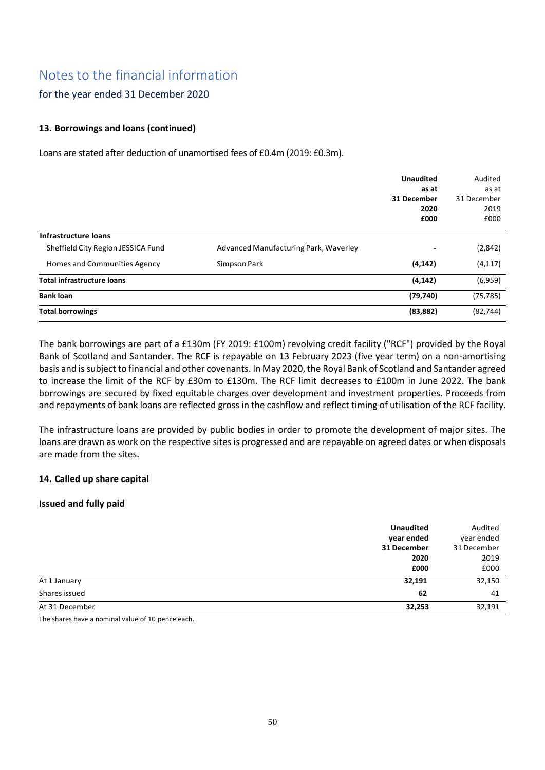## for the year ended 31 December 2020

## **13. Borrowings and loans (continued)**

Loans are stated after deduction of unamortised fees of £0.4m (2019: £0.3m).

|                                    |                                       | <b>Unaudited</b>         | Audited     |
|------------------------------------|---------------------------------------|--------------------------|-------------|
|                                    |                                       | as at                    | as at       |
|                                    |                                       | 31 December              | 31 December |
|                                    |                                       | 2020                     | 2019        |
|                                    |                                       | £000                     | £000        |
| Infrastructure loans               |                                       |                          |             |
| Sheffield City Region JESSICA Fund | Advanced Manufacturing Park, Waverley | $\overline{\phantom{0}}$ | (2,842)     |
| Homes and Communities Agency       | Simpson Park                          | (4, 142)                 | (4, 117)    |
| <b>Total infrastructure loans</b>  |                                       | (4, 142)                 | (6,959)     |
| <b>Bank loan</b>                   |                                       | (79, 740)                | (75, 785)   |
| <b>Total borrowings</b>            |                                       | (83, 882)                | (82, 744)   |

The bank borrowings are part of a £130m (FY 2019: £100m) revolving credit facility ("RCF") provided by the Royal Bank of Scotland and Santander. The RCF is repayable on 13 February 2023 (five year term) on a non-amortising basis and is subject to financial and other covenants. In May 2020, the Royal Bank of Scotland and Santander agreed to increase the limit of the RCF by £30m to £130m. The RCF limit decreases to £100m in June 2022. The bank borrowings are secured by fixed equitable charges over development and investment properties. Proceeds from and repayments of bank loans are reflected gross in the cashflow and reflect timing of utilisation of the RCF facility.

The infrastructure loans are provided by public bodies in order to promote the development of major sites. The loans are drawn as work on the respective sites is progressed and are repayable on agreed dates or when disposals are made from the sites.

### **14. Called up share capital**

### **Issued and fully paid**

|                | <b>Unaudited</b><br>year ended<br>31 December<br>2020<br>£000 | Audited<br>year ended<br>31 December<br>2019<br>£000 |
|----------------|---------------------------------------------------------------|------------------------------------------------------|
| At 1 January   | 32,191                                                        | 32,150                                               |
| Shares issued  | 62                                                            | 41                                                   |
| At 31 December | 32,253                                                        | 32,191                                               |

The shares have a nominal value of 10 pence each.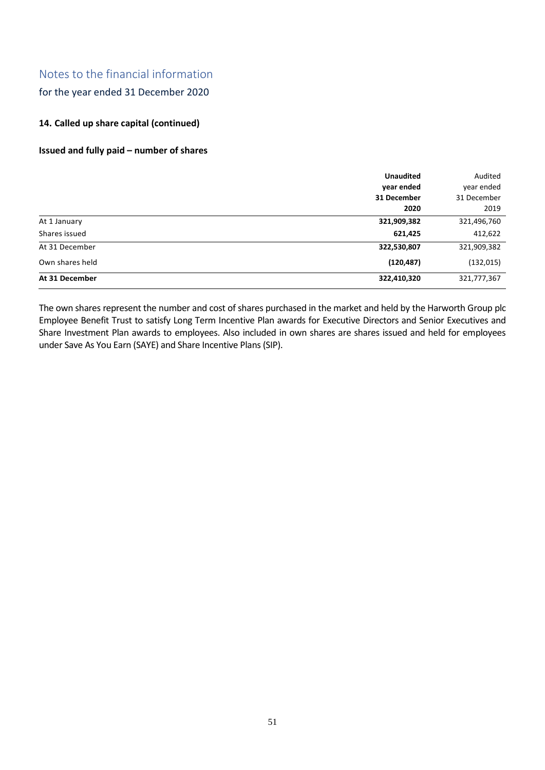## for the year ended 31 December 2020

## **14. Called up share capital (continued)**

### **Issued and fully paid – number of shares**

|                 | <b>Unaudited</b> | Audited     |
|-----------------|------------------|-------------|
|                 | year ended       | year ended  |
|                 | 31 December      | 31 December |
|                 | 2020             | 2019        |
| At 1 January    | 321,909,382      | 321,496,760 |
| Shares issued   | 621,425          | 412,622     |
| At 31 December  | 322,530,807      | 321,909,382 |
| Own shares held | (120, 487)       | (132, 015)  |
| At 31 December  | 322,410,320      | 321,777,367 |

The own shares represent the number and cost of shares purchased in the market and held by the Harworth Group plc Employee Benefit Trust to satisfy Long Term Incentive Plan awards for Executive Directors and Senior Executives and Share Investment Plan awards to employees. Also included in own shares are shares issued and held for employees under Save As You Earn (SAYE) and Share Incentive Plans (SIP).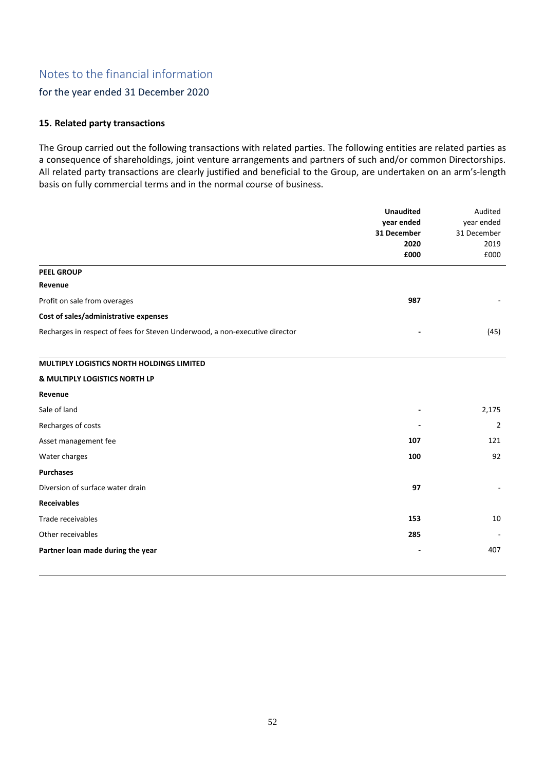## for the year ended 31 December 2020

### **15. Related party transactions**

The Group carried out the following transactions with related parties. The following entities are related parties as a consequence of shareholdings, joint venture arrangements and partners of such and/or common Directorships. All related party transactions are clearly justified and beneficial to the Group, are undertaken on an arm's-length basis on fully commercial terms and in the normal course of business.

|                                                                             | <b>Unaudited</b>          | Audited                   |
|-----------------------------------------------------------------------------|---------------------------|---------------------------|
|                                                                             | year ended<br>31 December | year ended<br>31 December |
|                                                                             | 2020                      | 2019                      |
|                                                                             | £000                      | £000                      |
| <b>PEEL GROUP</b>                                                           |                           |                           |
| Revenue                                                                     |                           |                           |
| Profit on sale from overages                                                | 987                       |                           |
| Cost of sales/administrative expenses                                       |                           |                           |
| Recharges in respect of fees for Steven Underwood, a non-executive director |                           | (45)                      |
| MULTIPLY LOGISTICS NORTH HOLDINGS LIMITED                                   |                           |                           |
| & MULTIPLY LOGISTICS NORTH LP                                               |                           |                           |
| Revenue                                                                     |                           |                           |
| Sale of land                                                                |                           | 2,175                     |
| Recharges of costs                                                          |                           | 2                         |
| Asset management fee                                                        | 107                       | 121                       |
| Water charges                                                               | 100                       | 92                        |
| <b>Purchases</b>                                                            |                           |                           |
| Diversion of surface water drain                                            | 97                        |                           |
| <b>Receivables</b>                                                          |                           |                           |
| Trade receivables                                                           | 153                       | 10                        |
| Other receivables                                                           | 285                       |                           |
| Partner loan made during the year                                           |                           | 407                       |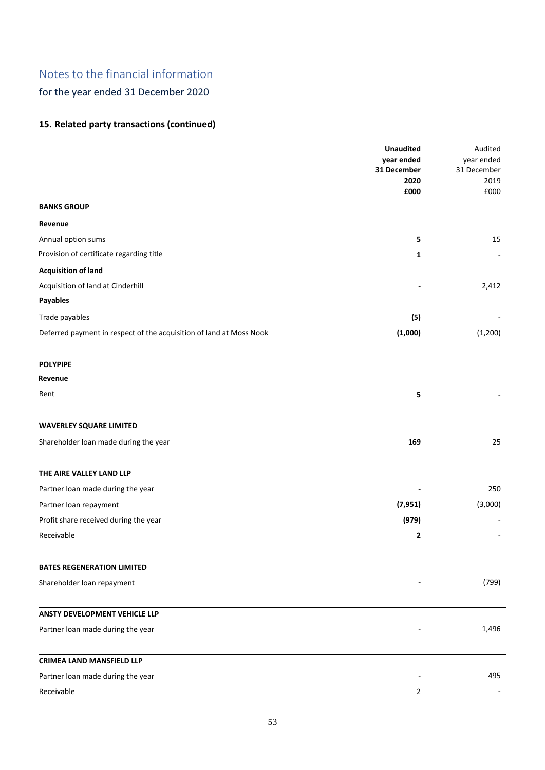for the year ended 31 December 2020

## **15. Related party transactions (continued)**

|                                                                     | <b>Unaudited</b><br>year ended<br>31 December | Audited<br>year ended<br>31 December |
|---------------------------------------------------------------------|-----------------------------------------------|--------------------------------------|
|                                                                     | 2020<br>£000                                  | 2019<br>£000                         |
| <b>BANKS GROUP</b>                                                  |                                               |                                      |
| Revenue                                                             |                                               |                                      |
| Annual option sums                                                  | 5                                             | 15                                   |
| Provision of certificate regarding title                            | 1                                             |                                      |
| <b>Acquisition of land</b>                                          |                                               |                                      |
| Acquisition of land at Cinderhill                                   |                                               | 2,412                                |
| Payables                                                            |                                               |                                      |
| Trade payables                                                      | (5)                                           |                                      |
| Deferred payment in respect of the acquisition of land at Moss Nook | (1,000)                                       | (1,200)                              |
| <b>POLYPIPE</b>                                                     |                                               |                                      |
| Revenue                                                             |                                               |                                      |
| Rent                                                                | 5                                             |                                      |
| <b>WAVERLEY SQUARE LIMITED</b>                                      |                                               |                                      |
| Shareholder loan made during the year                               | 169                                           | 25                                   |
| THE AIRE VALLEY LAND LLP                                            |                                               |                                      |
| Partner loan made during the year                                   |                                               | 250                                  |
| Partner loan repayment                                              | (7, 951)                                      | (3,000)                              |
| Profit share received during the year                               | (979)                                         |                                      |
| Receivable                                                          | 2                                             |                                      |
| <b>BATES REGENERATION LIMITED</b>                                   |                                               |                                      |
| Shareholder loan repayment                                          |                                               | (799)                                |
| ANSTY DEVELOPMENT VEHICLE LLP                                       |                                               |                                      |
| Partner loan made during the year                                   |                                               | 1,496                                |
| <b>CRIMEA LAND MANSFIELD LLP</b>                                    |                                               |                                      |
| Partner loan made during the year                                   |                                               | 495                                  |
| Receivable                                                          | $\overline{2}$                                |                                      |